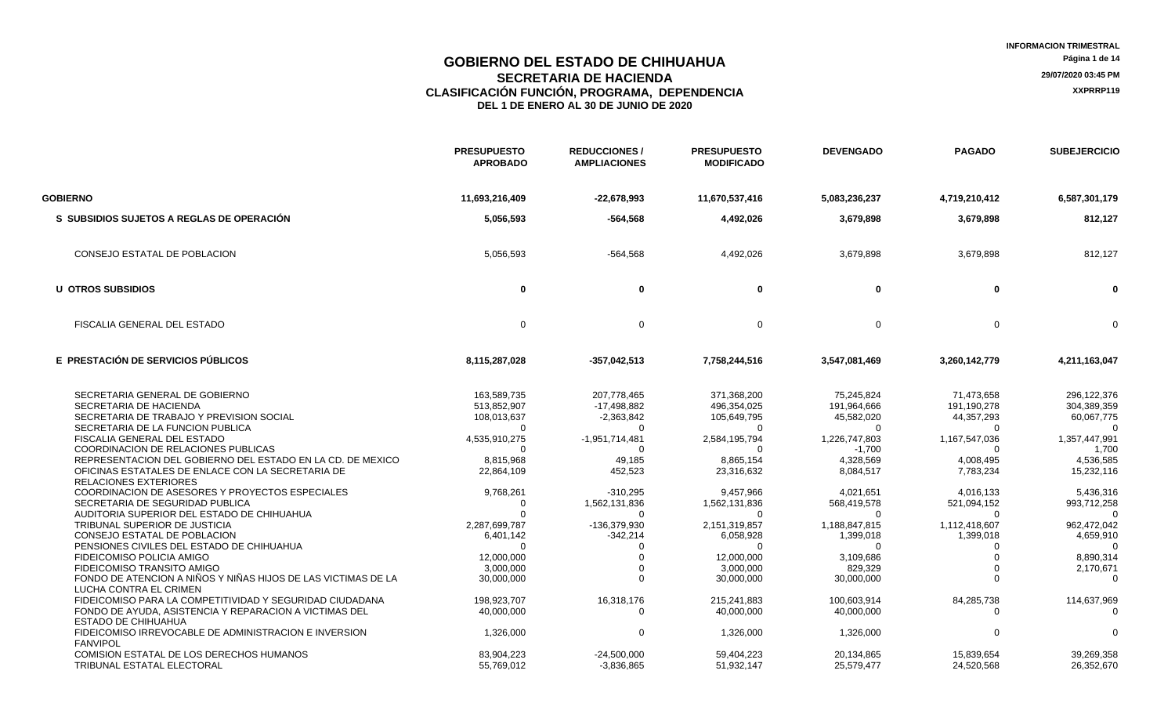|                                                                           | <b>PRESUPUESTO</b><br><b>APROBADO</b> | <b>REDUCCIONES /</b><br><b>AMPLIACIONES</b> | <b>PRESUPUESTO</b><br><b>MODIFICADO</b> | <b>DEVENGADO</b> | <b>PAGADO</b>           | <b>SUBEJERCICIO</b> |
|---------------------------------------------------------------------------|---------------------------------------|---------------------------------------------|-----------------------------------------|------------------|-------------------------|---------------------|
| <b>GOBIERNO</b>                                                           | 11,693,216,409                        | $-22,678,993$                               | 11,670,537,416                          | 5,083,236,237    | 4,719,210,412           | 6,587,301,179       |
| S SUBSIDIOS SUJETOS A REGLAS DE OPERACION                                 | 5,056,593                             | $-564,568$                                  | 4,492,026                               | 3,679,898        | 3,679,898               | 812,127             |
| CONSEJO ESTATAL DE POBLACION                                              | 5,056,593                             | $-564,568$                                  | 4,492,026                               | 3,679,898        | 3,679,898               | 812,127             |
| U OTROS SUBSIDIOS                                                         | 0                                     | $\mathbf 0$                                 | $\mathbf 0$                             | $\mathbf 0$      | $\bf{0}$                | 0                   |
| FISCALIA GENERAL DEL ESTADO                                               | $\mathbf 0$                           | $\Omega$                                    | $\Omega$                                | $\mathbf{0}$     | $\Omega$                | $\Omega$            |
| E PRESTACIÓN DE SERVICIOS PÚBLICOS                                        | 8,115,287,028                         | $-357,042,513$                              | 7,758,244,516                           | 3,547,081,469    | 3,260,142,779           | 4,211,163,047       |
| SECRETARIA GENERAL DE GOBIERNO                                            | 163.589.735                           | 207.778.465                                 | 371.368.200                             | 75.245.824       | 71.473.658              | 296,122,376         |
| SECRETARIA DE HACIENDA                                                    | 513,852,907                           | $-17,498,882$                               | 496,354,025                             | 191,964,666      | 191,190,278             | 304,389,359         |
| SECRETARIA DE TRABAJO Y PREVISION SOCIAL                                  | 108,013,637                           | $-2,363,842$                                | 105,649,795                             | 45,582,020       | 44,357,293              | 60,067,775          |
| SECRETARIA DE LA FUNCION PUBLICA                                          | $\Omega$                              | $\Omega$                                    |                                         | $\Omega$         | $\Omega$                | $\Omega$            |
| FISCALIA GENERAL DEL ESTADO                                               | 4,535,910,275                         | $-1,951,714,481$                            | 2,584,195,794                           | 1,226,747,803    | 1,167,547,036           | 1,357,447,991       |
| COORDINACION DE RELACIONES PUBLICAS                                       |                                       |                                             |                                         | $-1,700$         |                         | 1,700               |
| REPRESENTACION DEL GOBIERNO DEL ESTADO EN LA CD. DE MEXICO                | 8,815,968                             | 49.185                                      | 8.865.154                               | 4.328.569        | 4,008,495               | 4,536,585           |
| OFICINAS ESTATALES DE ENLACE CON LA SECRETARIA DE                         | 22,864,109                            | 452,523                                     | 23,316,632                              | 8,084,517        | 7,783,234               | 15,232,116          |
| <b>RELACIONES EXTERIORES</b>                                              |                                       |                                             |                                         |                  |                         |                     |
| COORDINACION DE ASESORES Y PROYECTOS ESPECIALES                           | 9,768,261                             | $-310,295$                                  | 9,457,966                               | 4,021,651        | 4,016,133               | 5,436,316           |
| SECRETARIA DE SEGURIDAD PUBLICA                                           | $\Omega$                              | 1,562,131,836                               | 1,562,131,836                           | 568,419,578      | 521,094,152<br>$\Omega$ | 993,712,258         |
| AUDITORIA SUPERIOR DEL ESTADO DE CHIHUAHUA                                |                                       | $\Omega$                                    |                                         |                  |                         | $\Omega$            |
| TRIBUNAL SUPERIOR DE JUSTICIA                                             | 2,287,699,787                         | -136,379,930                                | 2,151,319,857                           | 1,188,847,815    | 1,112,418,607           | 962,472,042         |
| CONSEJO ESTATAL DE POBLACION<br>PENSIONES CIVILES DEL ESTADO DE CHIHUAHUA | 6,401,142<br>$\Omega$                 | $-342,214$                                  | 6,058,928                               | 1,399,018        | 1,399,018<br>∩          | 4,659,910           |
| FIDEICOMISO POLICIA AMIGO                                                 | 12,000,000                            |                                             | 12,000,000                              | 3,109,686        | $\Omega$                | 8,890,314           |
| FIDEICOMISO TRANSITO AMIGO                                                | 3,000,000                             |                                             | 3,000,000                               | 829,329          | $\Omega$                | 2,170,671           |
| FONDO DE ATENCION A NIÑOS Y NIÑAS HIJOS DE LAS VICTIMAS DE LA             | 30,000,000                            | $\Omega$                                    | 30,000,000                              | 30,000,000       | $\Omega$                | $\Omega$            |
| LUCHA CONTRA EL CRIMEN                                                    |                                       |                                             |                                         |                  |                         |                     |
| FIDEICOMISO PARA LA COMPETITIVIDAD Y SEGURIDAD CIUDADANA                  | 198,923,707                           | 16,318,176                                  | 215,241,883                             | 100,603,914      | 84,285,738              | 114,637,969         |
| FONDO DE AYUDA, ASISTENCIA Y REPARACION A VICTIMAS DEL                    | 40,000,000                            | $\Omega$                                    | 40,000,000                              | 40,000,000       |                         | $\Omega$            |
| <b>ESTADO DE CHIHUAHUA</b>                                                |                                       |                                             |                                         |                  |                         |                     |
| FIDEICOMISO IRREVOCABLE DE ADMINISTRACION E INVERSION<br><b>FANVIPOL</b>  | 1,326,000                             | $\Omega$                                    | 1,326,000                               | 1,326,000        | $\Omega$                | $\Omega$            |
| <b>COMISION ESTATAL DE LOS DERECHOS HUMANOS</b>                           | 83,904,223                            | $-24,500,000$                               | 59.404.223                              | 20,134,865       | 15,839,654              | 39,269,358          |
| TRIBUNAL ESTATAL ELECTORAL                                                | 55.769.012                            | $-3.836.865$                                | 51.932.147                              | 25.579.477       | 24.520.568              | 26,352,670          |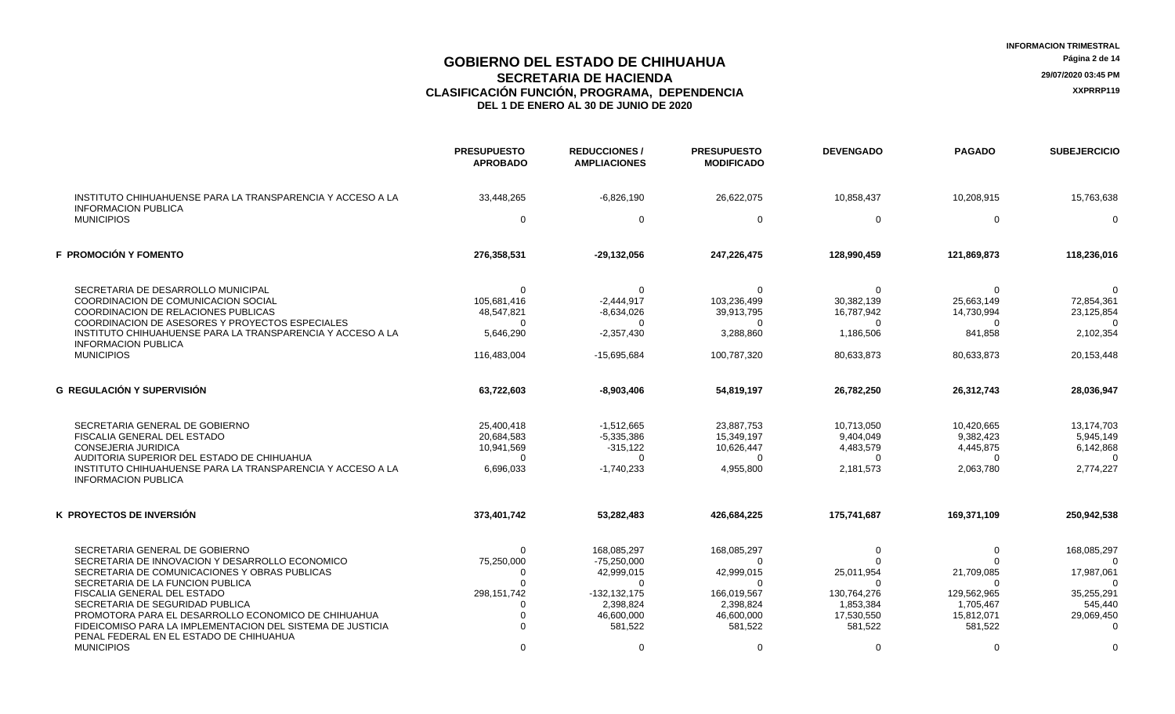|                                                                                                       | <b>PRESUPUESTO</b><br><b>APROBADO</b> | <b>REDUCCIONES /</b><br><b>AMPLIACIONES</b> | <b>PRESUPUESTO</b><br><b>MODIFICADO</b> | <b>DEVENGADO</b> | <b>PAGADO</b> | <b>SUBEJERCICIO</b> |
|-------------------------------------------------------------------------------------------------------|---------------------------------------|---------------------------------------------|-----------------------------------------|------------------|---------------|---------------------|
| INSTITUTO CHIHUAHUENSE PARA LA TRANSPARENCIA Y ACCESO A LA                                            | 33,448,265                            | $-6,826,190$                                | 26,622,075                              | 10,858,437       | 10,208,915    | 15,763,638          |
| <b>INFORMACION PUBLICA</b><br><b>MUNICIPIOS</b>                                                       | $\Omega$                              | $\Omega$                                    | $\Omega$                                | $\mathbf{0}$     | $\mathbf 0$   | $\Omega$            |
| F PROMOCIÓN Y FOMENTO                                                                                 | 276,358,531                           | $-29,132,056$                               | 247,226,475                             | 128,990,459      | 121,869,873   | 118,236,016         |
| SECRETARIA DE DESARROLLO MUNICIPAL                                                                    | ∩                                     |                                             |                                         |                  | $\Omega$      |                     |
| COORDINACION DE COMUNICACION SOCIAL                                                                   | 105,681,416                           | $-2,444,917$                                | 103,236,499                             | 30,382,139       | 25,663,149    | 72,854,361          |
| COORDINACION DE RELACIONES PUBLICAS                                                                   | 48,547,821                            | $-8,634,026$                                | 39,913,795                              | 16,787,942       | 14,730,994    | 23,125,854          |
| COORDINACION DE ASESORES Y PROYECTOS ESPECIALES                                                       | $\Omega$                              | $\Omega$                                    | $\Omega$                                | $\Omega$         | $\Omega$      | $\Omega$            |
| INSTITUTO CHIHUAHUENSE PARA LA TRANSPARENCIA Y ACCESO A LA                                            | 5,646,290                             | $-2,357,430$                                | 3,288,860                               | 1,186,506        | 841,858       | 2,102,354           |
| <b>INFORMACION PUBLICA</b><br><b>MUNICIPIOS</b>                                                       | 116,483,004                           | -15,695,684                                 | 100,787,320                             | 80,633,873       | 80,633,873    | 20,153,448          |
| G REGULACIÓN Y SUPERVISIÓN                                                                            | 63,722,603                            | $-8,903,406$                                | 54,819,197                              | 26,782,250       | 26,312,743    | 28,036,947          |
| SECRETARIA GENERAL DE GOBIERNO                                                                        | 25,400,418                            | $-1,512,665$                                | 23,887,753                              | 10,713,050       | 10,420,665    | 13,174,703          |
| FISCALIA GENERAL DEL ESTADO                                                                           | 20,684,583                            | $-5,335,386$                                | 15,349,197                              | 9,404,049        | 9,382,423     | 5,945,149           |
| <b>CONSEJERIA JURIDICA</b>                                                                            | 10,941,569                            | $-315,122$                                  | 10,626,447                              | 4,483,579        | 4,445,875     | 6,142,868           |
| AUDITORIA SUPERIOR DEL ESTADO DE CHIHUAHUA                                                            | $\Omega$                              | $\Omega$                                    |                                         | $\Omega$         | $\Omega$      | ∩                   |
| INSTITUTO CHIHUAHUENSE PARA LA TRANSPARENCIA Y ACCESO A LA<br><b>INFORMACION PUBLICA</b>              | 6,696,033                             | $-1,740,233$                                | 4,955,800                               | 2,181,573        | 2,063,780     | 2,774,227           |
| K PROYECTOS DE INVERSIÓN                                                                              | 373,401,742                           | 53,282,483                                  | 426,684,225                             | 175,741,687      | 169,371,109   | 250,942,538         |
| SECRETARIA GENERAL DE GOBIERNO                                                                        | $\Omega$                              | 168,085,297                                 | 168,085,297                             | $\Omega$         | 0             | 168,085,297         |
| SECRETARIA DE INNOVACION Y DESARROLLO ECONOMICO                                                       | 75,250,000                            | $-75,250,000$                               | U                                       |                  |               | $\Omega$            |
| SECRETARIA DE COMUNICACIONES Y OBRAS PUBLICAS                                                         | 0                                     | 42,999,015                                  | 42,999,015                              | 25,011,954       | 21,709,085    | 17,987,061          |
| SECRETARIA DE LA FUNCION PUBLICA                                                                      | $\Omega$                              | $\Omega$                                    |                                         | $\Omega$         |               | $\Omega$            |
| FISCALIA GENERAL DEL ESTADO                                                                           | 298, 151, 742                         | -132,132,175                                | 166,019,567                             | 130,764,276      | 129,562,965   | 35,255,291          |
| SECRETARIA DE SEGURIDAD PUBLICA                                                                       | $\Omega$                              | 2,398,824                                   | 2,398,824                               | 1,853,384        | 1,705,467     | 545,440             |
| PROMOTORA PARA EL DESARROLLO ECONOMICO DE CHIHUAHUA                                                   | 0                                     | 46,600,000                                  | 46,600,000                              | 17,530,550       | 15,812,071    | 29,069,450          |
| FIDEICOMISO PARA LA IMPLEMENTACION DEL SISTEMA DE JUSTICIA<br>PENAL FEDERAL EN EL ESTADO DE CHIHUAHUA | $\Omega$                              | 581,522                                     | 581,522                                 | 581,522          | 581,522       |                     |
| <b>MUNICIPIOS</b>                                                                                     | 0                                     | $\Omega$                                    | $\Omega$                                | $\Omega$         | $\Omega$      |                     |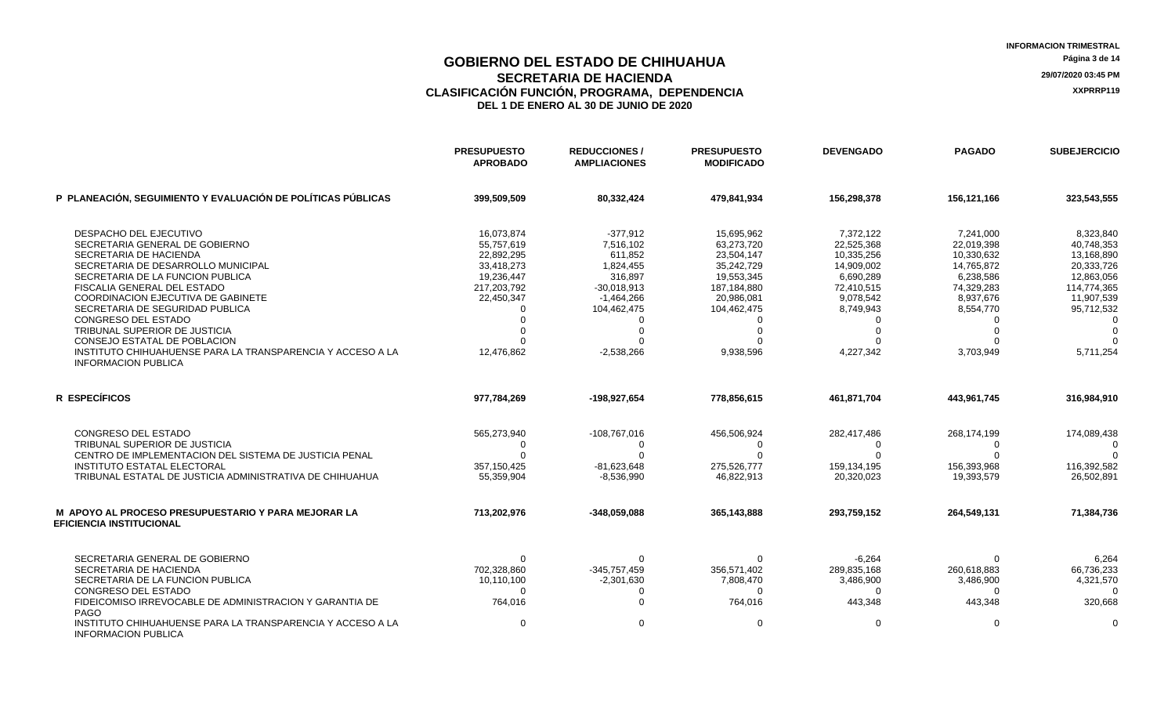|                                                                                                                                                                                                                                                                                                                                                                                                                                                                               | <b>PRESUPUESTO</b><br><b>APROBADO</b>                                                                         | <b>REDUCCIONES /</b><br><b>AMPLIACIONES</b>                                                                                | <b>PRESUPUESTO</b><br><b>MODIFICADO</b>                                                                                     | <b>DEVENGADO</b>                                                                                                      | <b>PAGADO</b>                                                                                                         | <b>SUBEJERCICIO</b>                                                                                                                   |
|-------------------------------------------------------------------------------------------------------------------------------------------------------------------------------------------------------------------------------------------------------------------------------------------------------------------------------------------------------------------------------------------------------------------------------------------------------------------------------|---------------------------------------------------------------------------------------------------------------|----------------------------------------------------------------------------------------------------------------------------|-----------------------------------------------------------------------------------------------------------------------------|-----------------------------------------------------------------------------------------------------------------------|-----------------------------------------------------------------------------------------------------------------------|---------------------------------------------------------------------------------------------------------------------------------------|
| P PLANEACIÓN, SEGUIMIENTO Y EVALUACIÓN DE POLÍTICAS PÚBLICAS                                                                                                                                                                                                                                                                                                                                                                                                                  | 399,509,509                                                                                                   | 80,332,424                                                                                                                 | 479,841,934                                                                                                                 | 156,298,378                                                                                                           | 156,121,166                                                                                                           | 323,543,555                                                                                                                           |
| <b>DESPACHO DEL EJECUTIVO</b><br>SECRETARIA GENERAL DE GOBIERNO<br>SECRETARIA DE HACIENDA<br>SECRETARIA DE DESARROLLO MUNICIPAL<br>SECRETARIA DE LA FUNCION PUBLICA<br>FISCALIA GENERAL DEL ESTADO<br><b>COORDINACION EJECUTIVA DE GABINETE</b><br>SECRETARIA DE SEGURIDAD PUBLICA<br><b>CONGRESO DEL ESTADO</b><br>TRIBUNAL SUPERIOR DE JUSTICIA<br>CONSEJO ESTATAL DE POBLACION<br>INSTITUTO CHIHUAHUENSE PARA LA TRANSPARENCIA Y ACCESO A LA<br><b>INFORMACION PUBLICA</b> | 16,073,874<br>55,757,619<br>22,892,295<br>33,418,273<br>19,236,447<br>217,203,792<br>22,450,347<br>12,476,862 | $-377,912$<br>7,516,102<br>611,852<br>1,824,455<br>316,897<br>$-30,018,913$<br>$-1,464,266$<br>104,462,475<br>$-2,538,266$ | 15,695,962<br>63,273,720<br>23,504,147<br>35,242,729<br>19,553,345<br>187,184,880<br>20,986,081<br>104,462,475<br>9,938,596 | 7,372,122<br>22,525,368<br>10,335,256<br>14,909,002<br>6,690,289<br>72,410,515<br>9,078,542<br>8,749,943<br>4,227,342 | 7.241.000<br>22,019,398<br>10,330,632<br>14,765,872<br>6,238,586<br>74,329,283<br>8,937,676<br>8,554,770<br>3,703,949 | 8,323,840<br>40,748,353<br>13,168,890<br>20,333,726<br>12.863.056<br>114,774,365<br>11,907,539<br>95,712,532<br>$\Omega$<br>5,711,254 |
| R ESPECÍFICOS                                                                                                                                                                                                                                                                                                                                                                                                                                                                 | 977,784,269                                                                                                   | -198,927,654                                                                                                               | 778,856,615                                                                                                                 | 461,871,704                                                                                                           | 443,961,745                                                                                                           | 316,984,910                                                                                                                           |
| CONGRESO DEL ESTADO<br>TRIBUNAL SUPERIOR DE JUSTICIA<br>CENTRO DE IMPLEMENTACION DEL SISTEMA DE JUSTICIA PENAL<br>INSTITUTO ESTATAL ELECTORAL<br>TRIBUNAL ESTATAL DE JUSTICIA ADMINISTRATIVA DE CHIHUAHUA                                                                                                                                                                                                                                                                     | 565,273,940<br>357,150,425<br>55,359,904                                                                      | $-108,767,016$<br>$\Omega$<br>$-81,623,648$<br>$-8,536,990$                                                                | 456,506,924<br>$\Omega$<br>275,526,777<br>46,822,913                                                                        | 282,417,486<br>$\Omega$<br>159,134,195<br>20,320,023                                                                  | 268,174,199<br>$\Omega$<br>156,393,968<br>19,393,579                                                                  | 174,089,438<br>$\Omega$<br>116,392,582<br>26,502,891                                                                                  |
| M APOYO AL PROCESO PRESUPUESTARIO Y PARA MEJORAR LA<br><b>EFICIENCIA INSTITUCIONAL</b>                                                                                                                                                                                                                                                                                                                                                                                        | 713,202,976                                                                                                   | -348,059,088                                                                                                               | 365,143,888                                                                                                                 | 293,759,152                                                                                                           | 264,549,131                                                                                                           | 71,384,736                                                                                                                            |
| SECRETARIA GENERAL DE GOBIERNO<br>SECRETARIA DE HACIENDA<br>SECRETARIA DE LA FUNCION PUBLICA<br><b>CONGRESO DEL ESTADO</b><br>FIDEICOMISO IRREVOCABLE DE ADMINISTRACION Y GARANTIA DE<br><b>PAGO</b><br>INSTITUTO CHIHUAHUENSE PARA LA TRANSPARENCIA Y ACCESO A LA<br><b>INFORMACION PUBLICA</b>                                                                                                                                                                              | 702,328,860<br>10,110,100<br>$\Omega$<br>764,016<br>∩                                                         | $\Omega$<br>$-345,757,459$<br>$-2,301,630$<br>$\Omega$<br>$\Omega$<br>$\Omega$                                             | $\Omega$<br>356,571,402<br>7,808,470<br>$\Omega$<br>764,016<br>$\Omega$                                                     | $-6,264$<br>289,835,168<br>3,486,900<br>$\Omega$<br>443,348<br>$\Omega$                                               | O<br>260,618,883<br>3,486,900<br>$\Omega$<br>443,348<br>0                                                             | 6,264<br>66,736,233<br>4,321,570<br>$\mathbf 0$<br>320,668<br>$\Omega$                                                                |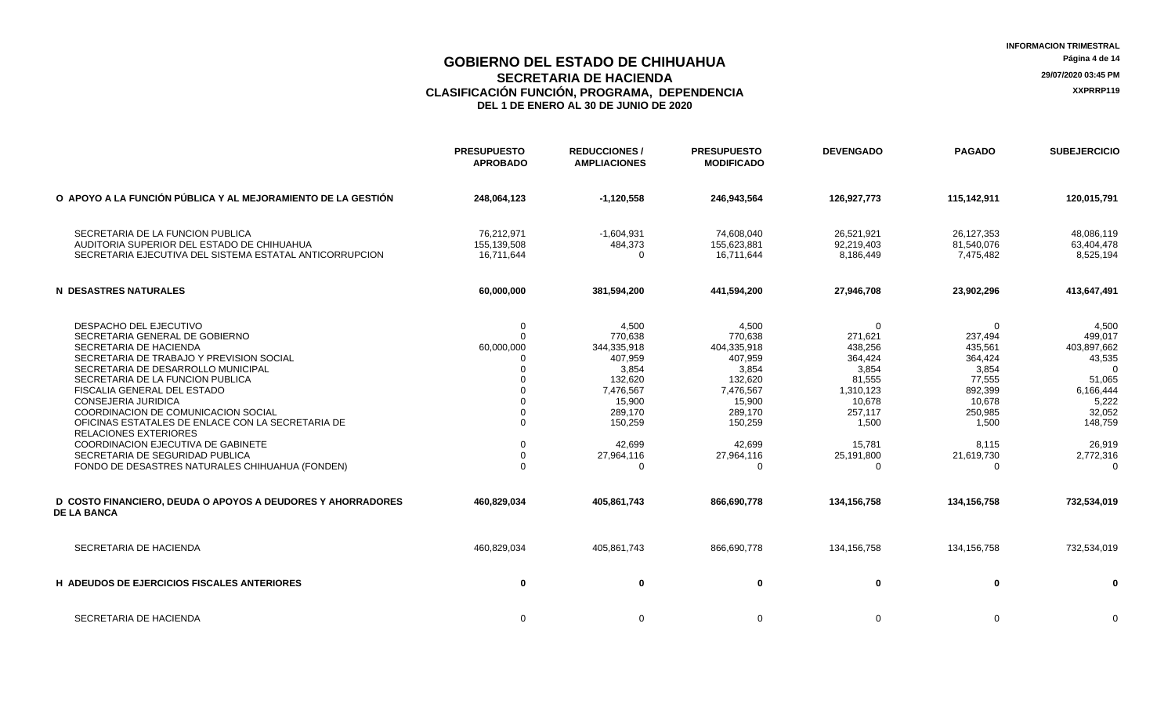|                                                                                                                                                                                                                                                                                                                                                                                                                                                                                                                               | <b>PRESUPUESTO</b><br><b>APROBADO</b>   | <b>REDUCCIONES /</b><br><b>AMPLIACIONES</b>                                                                                                     | <b>PRESUPUESTO</b><br><b>MODIFICADO</b>                                                                                                         | <b>DEVENGADO</b>                                                                                                                            | <b>PAGADO</b>                                                                                                                            | <b>SUBEJERCICIO</b>                                                                                                                           |
|-------------------------------------------------------------------------------------------------------------------------------------------------------------------------------------------------------------------------------------------------------------------------------------------------------------------------------------------------------------------------------------------------------------------------------------------------------------------------------------------------------------------------------|-----------------------------------------|-------------------------------------------------------------------------------------------------------------------------------------------------|-------------------------------------------------------------------------------------------------------------------------------------------------|---------------------------------------------------------------------------------------------------------------------------------------------|------------------------------------------------------------------------------------------------------------------------------------------|-----------------------------------------------------------------------------------------------------------------------------------------------|
| O APOYO A LA FUNCIÓN PÚBLICA Y AL MEJORAMIENTO DE LA GESTIÓN                                                                                                                                                                                                                                                                                                                                                                                                                                                                  | 248,064,123                             | $-1,120,558$                                                                                                                                    | 246,943,564                                                                                                                                     | 126,927,773                                                                                                                                 | 115,142,911                                                                                                                              | 120,015,791                                                                                                                                   |
| SECRETARIA DE LA FUNCION PUBLICA<br>AUDITORIA SUPERIOR DEL ESTADO DE CHIHUAHUA<br>SECRETARIA EJECUTIVA DEL SISTEMA ESTATAL ANTICORRUPCION                                                                                                                                                                                                                                                                                                                                                                                     | 76,212,971<br>155,139,508<br>16,711,644 | $-1,604,931$<br>484,373<br>$\Omega$                                                                                                             | 74,608,040<br>155,623,881<br>16,711,644                                                                                                         | 26,521,921<br>92,219,403<br>8,186,449                                                                                                       | 26,127,353<br>81,540,076<br>7,475,482                                                                                                    | 48,086,119<br>63,404,478<br>8,525,194                                                                                                         |
| <b>N DESASTRES NATURALES</b>                                                                                                                                                                                                                                                                                                                                                                                                                                                                                                  | 60,000,000                              | 381,594,200                                                                                                                                     | 441,594,200                                                                                                                                     | 27,946,708                                                                                                                                  | 23,902,296                                                                                                                               | 413,647,491                                                                                                                                   |
| DESPACHO DEL EJECUTIVO<br>SECRETARIA GENERAL DE GOBIERNO<br>SECRETARIA DE HACIENDA<br>SECRETARIA DE TRABAJO Y PREVISION SOCIAL<br>SECRETARIA DE DESARROLLO MUNICIPAL<br>SECRETARIA DE LA FUNCION PUBLICA<br>FISCALIA GENERAL DEL ESTADO<br><b>CONSEJERIA JURIDICA</b><br>COORDINACION DE COMUNICACION SOCIAL<br>OFICINAS ESTATALES DE ENLACE CON LA SECRETARIA DE<br><b>RELACIONES EXTERIORES</b><br>COORDINACION EJECUTIVA DE GABINETE<br>SECRETARIA DE SEGURIDAD PUBLICA<br>FONDO DE DESASTRES NATURALES CHIHUAHUA (FONDEN) | $\Omega$<br>60,000,000<br>$\Omega$      | 4,500<br>770,638<br>344,335,918<br>407,959<br>3,854<br>132,620<br>7,476,567<br>15,900<br>289,170<br>150,259<br>42,699<br>27,964,116<br>$\Omega$ | 4,500<br>770,638<br>404,335,918<br>407,959<br>3,854<br>132,620<br>7,476,567<br>15,900<br>289,170<br>150,259<br>42,699<br>27,964,116<br>$\Omega$ | $\Omega$<br>271,621<br>438,256<br>364,424<br>3,854<br>81,555<br>1,310,123<br>10,678<br>257,117<br>1,500<br>15,781<br>25,191,800<br>$\Omega$ | $\Omega$<br>237,494<br>435,561<br>364,424<br>3,854<br>77,555<br>892,399<br>10,678<br>250,985<br>1,500<br>8,115<br>21,619,730<br>$\Omega$ | 4,500<br>499,017<br>403,897,662<br>43,535<br>$\Omega$<br>51,065<br>6,166,444<br>5,222<br>32,052<br>148,759<br>26,919<br>2,772,316<br>$\Omega$ |
| D COSTO FINANCIERO, DEUDA O APOYOS A DEUDORES Y AHORRADORES<br><b>DE LA BANCA</b>                                                                                                                                                                                                                                                                                                                                                                                                                                             | 460,829,034                             | 405,861,743                                                                                                                                     | 866,690,778                                                                                                                                     | 134,156,758                                                                                                                                 | 134,156,758                                                                                                                              | 732,534,019                                                                                                                                   |
| SECRETARIA DE HACIENDA                                                                                                                                                                                                                                                                                                                                                                                                                                                                                                        | 460,829,034                             | 405,861,743                                                                                                                                     | 866,690,778                                                                                                                                     | 134,156,758                                                                                                                                 | 134, 156, 758                                                                                                                            | 732,534,019                                                                                                                                   |
| <b>H ADEUDOS DE EJERCICIOS FISCALES ANTERIORES</b>                                                                                                                                                                                                                                                                                                                                                                                                                                                                            | $\bf{0}$                                | $\mathbf 0$                                                                                                                                     | $\mathbf 0$                                                                                                                                     | $\mathbf 0$                                                                                                                                 | $\mathbf 0$                                                                                                                              | 0                                                                                                                                             |
| SECRETARIA DE HACIENDA                                                                                                                                                                                                                                                                                                                                                                                                                                                                                                        | $\Omega$                                | 0                                                                                                                                               | $\mathbf 0$                                                                                                                                     | $\mathbf 0$                                                                                                                                 | $\Omega$                                                                                                                                 | 0                                                                                                                                             |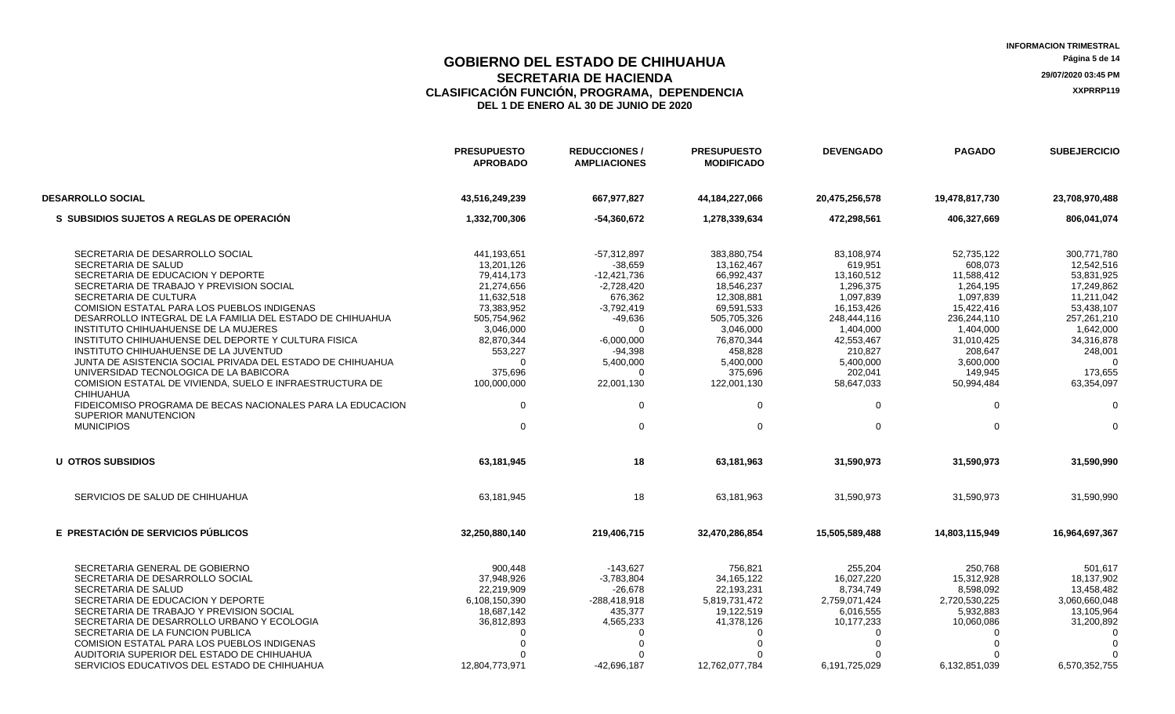#### **GOBIERNO DEL ESTADO DE CHIHUAHUA Página 5 de 14 SECRETARIA DE HACIENDA 29/07/2020 03:45 PM CLASIFICACIÓN FUNCIÓN, PROGRAMA, DEPENDENCIA XXPRRP119 XXPRRP119 DEL 1 DE ENERO AL 30 DE JUNIO DE 2020**

**PRESUPUESTO APROBADO REDUCCIONES / AMPLIACIONES PRESUPUESTO MODIFICADO DEVENGADO PAGADO SUBEJERCICIO DESARROLLO SOCIAL 43,516,249,239 667,977,827 44,184,227,066 20,475,256,578 19,478,817,730 23,708,970,488 S SUBSIDIOS SUJETOS A REGLAS DE OPERACIÓN 1,332,700,306 -54,360,672 1,278,339,634 472,298,561 406,327,669 806,041,074** SECRETARIA DE DESARROLLO SOCIAL 441,193,651 -57,312,897 383,880,754 83,108,974 52,735,122 300,771,780 SECRETARIA DE SALUD 13,201,126 -38,659 13,162,467 619,951 608,073 12,542,516 SECRETARIA DE EDUCACION Y DEPORTE 79,414,173 -12,421,736 66,992,437 13,160,512 11,588,412 53,831,925 SECRETARIA DE TRABAJO Y PREVISION SOCIAL 21,274,656 21,274,656 2.728,420 18,546,237 1,296,375 1,264,195 1,264,195 17,249,862 SECRETARIA DE CULTURA 11,632,518 676,362 12,308,881 1,097,839 1,097,839 11,211,042 COMISION ESTATAL PARA LOS PUEBLOS INDIGENAS 73,383,952 -3,792,419 69,591,533 16,153,426 15,422,416 53,438,107 DESARROLLO INTEGRAL DE LA FAMILIA DEL ESTADO DE CHIHUAHUA 505,754,962 -49,636 505,705,326 248,444,116 236,244,110 257,261,210 INSTITUTO CHIHUAHUENSE DE LA MUJERES  $3.046,000$   $3.046,000$   $3.046,000$   $3.046,000$   $1.404,000$   $1.404,000$   $1.404,000$ INSTITUTO CHIHUAHUENSE DEL DEPORTE Y CULTURA FISICA  $82.870.344$   $82.870.344$   $6.000.000$   $76.870.344$   $42.553.467$   $31.010.425$   $31.010.425$ INSTITUTO CHIHUAHUENSE DE LA JUVENTUD 553,227 -94,398 458,828 210,827 208,647 248,001 JUNTA DE ASISTENCIA SOCIAL PRIVADA DEL ESTADO DE CHIHUAHUA 0 5,400,000 5,400,000 5,400,000 3,600,000 0 UNIVERSIDAD TECNOLOGICA DE LA BABICORA 375,696 0 375,696 202,041 149,945 173,655 COMISION ESTATAL DE VIVIENDA, SUELO E INFRAESTRUCTURA DE CHIHUAHUA 100,000,000 22,001,130 122,001,130 58,647,033 50,994,484 63,354,097 FIDEICOMISO PROGRAMA DE BECAS NACIONALES PARA LA EDUCACION SUPERIOR MANUTENCION<br>MUNICIPIOS 0 0 0 0 0 0 MUNICIPIOS 0 0 0 0 0 0 **U OTROS SUBSIDIOS 63,181,945 18 63,181,963 31,590,973 31,590,973 31,590,990** SERVICIOS DE SALUD DE CHIHUAHUA 63,181,945 18 63,181,963 31,590,973 31,590,973 31,590,990 **E PRESTACIÓN DE SERVICIOS PÚBLICOS 32,250,880,140 219,406,715 32,470,286,854 15,505,589,488 14,803,115,949 16,964,697,367** SECRETARIA GENERAL DE GOBIERNO 900,448 -143,627 756,821 255,204 250,768 501,617 SECRETARIA DE DESARROLLO SOCIAL CONSUL CONSULTO SOCIAL 2012 18,137,948,926 37,948,926 34,165,122 34,165,122 16,027,220 15,312,928 15,312,928 18,137,902 SECRETARIA DE SALUD 22,219,909 -26,678 22,193,231 8,734,749 8,598,092 13,458,482 SECRETARIA DE EDUCACION Y DEPORTE  $6,108,150,390$   $6,108,150,390$   $-288,418,918$   $5,819,731,472$   $2,759,071,424$   $2,720,530,225$   $3,060,660,048$ SECRETARIA DE TRABAJO Y PREVISION SOCIAL 18,687,142 19,687,142 435,377 19,687,142 435,377 5,932,883 5,932,883 13,105,964 SECRETARIA DE DESARROLLO URBANO Y ECOLOGIA  $36,812,893$   $4,565,233$   $41,378,126$   $10,177,233$   $10,060,086$   $31,200,892$ SECRETARIA DE LA FUNCION PUBLICA 0 0 0 0 0 0 COMISION ESTATAL PARA LOS PUEBLOS INDIGENAS 0 0 0 0 0 0 AUDITORIA SUPERIOR DEL ESTADO DE CHIHUAHUA 0 0 0 0 0 0 SERVICIOS EDUCATIVOS DEL ESTADO DE CHIHUAHUA 12,804,773,971 12,804,773,971 12,762,077,784 6,191,725,029 6,132,851,039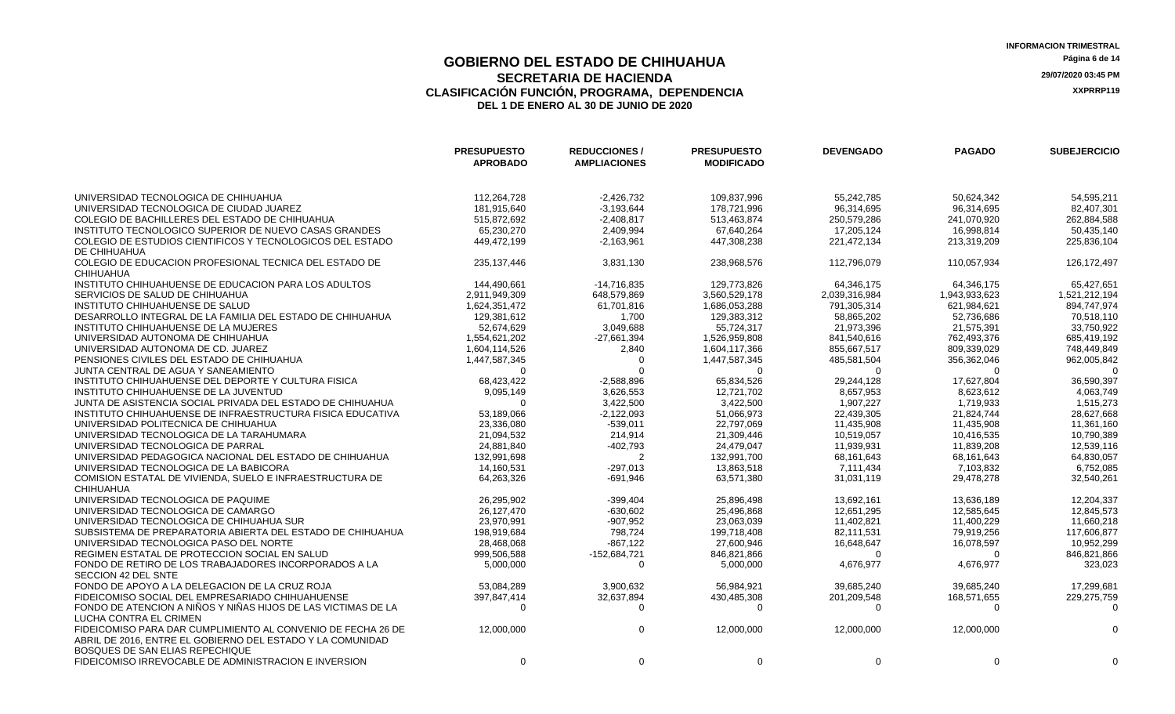|                                                                                                                                                               | <b>PRESUPUESTO</b><br><b>APROBADO</b> | <b>REDUCCIONES /</b><br><b>AMPLIACIONES</b> | <b>PRESUPUESTO</b><br><b>MODIFICADO</b> | <b>DEVENGADO</b> | <b>PAGADO</b> | <b>SUBEJERCICIO</b> |
|---------------------------------------------------------------------------------------------------------------------------------------------------------------|---------------------------------------|---------------------------------------------|-----------------------------------------|------------------|---------------|---------------------|
| UNIVERSIDAD TECNOLOGICA DE CHIHUAHUA                                                                                                                          | 112.264.728                           | $-2.426.732$                                | 109.837.996                             | 55,242,785       | 50.624.342    | 54.595.211          |
| UNIVERSIDAD TECNOLOGICA DE CIUDAD JUAREZ                                                                                                                      | 181,915,640                           | $-3,193,644$                                | 178,721,996                             | 96,314,695       | 96,314,695    | 82,407,301          |
| COLEGIO DE BACHILLERES DEL ESTADO DE CHIHUAHUA                                                                                                                | 515,872,692                           | $-2,408,817$                                | 513,463,874                             | 250,579,286      | 241,070,920   | 262,884,588         |
| INSTITUTO TECNOLOGICO SUPERIOR DE NUEVO CASAS GRANDES                                                                                                         | 65,230,270                            | 2,409,994                                   | 67,640,264                              | 17,205,124       | 16,998,814    | 50,435,140          |
| COLEGIO DE ESTUDIOS CIENTIFICOS Y TECNOLOGICOS DEL ESTADO                                                                                                     | 449,472,199                           | $-2,163,961$                                | 447,308,238                             | 221,472,134      | 213,319,209   | 225,836,104         |
| DE CHIHUAHUA                                                                                                                                                  |                                       |                                             |                                         |                  |               |                     |
| COLEGIO DE EDUCACION PROFESIONAL TECNICA DEL ESTADO DE<br>CHIHUAHUA                                                                                           | 235, 137, 446                         | 3,831,130                                   | 238,968,576                             | 112,796,079      | 110,057,934   | 126,172,497         |
| INSTITUTO CHIHUAHUENSE DE EDUCACION PARA LOS ADULTOS                                                                                                          | 144,490,661                           | $-14.716.835$                               | 129,773,826                             | 64,346,175       | 64,346,175    | 65,427,651          |
| SERVICIOS DE SALUD DE CHIHUAHUA                                                                                                                               | 2,911,949,309                         | 648,579,869                                 | 3,560,529,178                           | 2,039,316,984    | 1,943,933,623 | 1,521,212,194       |
| INSTITUTO CHIHUAHUENSE DE SALUD                                                                                                                               | 1,624,351,472                         | 61,701,816                                  | 1,686,053,288                           | 791,305,314      | 621,984,621   | 894,747,974         |
| DESARROLLO INTEGRAL DE LA FAMILIA DEL ESTADO DE CHIHUAHUA                                                                                                     | 129,381,612                           | 1,700                                       | 129,383,312                             | 58,865,202       | 52,736,686    | 70,518,110          |
| INSTITUTO CHIHUAHUENSE DE LA MUJERES                                                                                                                          | 52,674,629                            | 3,049,688                                   | 55,724,317                              | 21,973,396       | 21,575,391    | 33,750,922          |
| UNIVERSIDAD AUTONOMA DE CHIHUAHUA                                                                                                                             | 1,554,621,202                         | $-27,661,394$                               | 1,526,959,808                           | 841,540,616      | 762,493,376   | 685,419,192         |
| UNIVERSIDAD AUTONOMA DE CD. JUAREZ                                                                                                                            | 1,604,114,526                         | 2,840                                       | 1,604,117,366                           | 855,667,517      | 809,339,029   | 748.449.849         |
| PENSIONES CIVILES DEL ESTADO DE CHIHUAHUA                                                                                                                     | 1,447,587,345                         | $\Omega$                                    | 1,447,587,345                           | 485,581,504      | 356,362,046   | 962,005,842         |
| JUNTA CENTRAL DE AGUA Y SANEAMIENTO                                                                                                                           | $\Omega$                              |                                             | $\Omega$                                | $\Omega$         | $\Omega$      | $\Omega$            |
| INSTITUTO CHIHUAHUENSE DEL DEPORTE Y CULTURA FISICA                                                                                                           | 68,423,422                            | $-2,588,896$                                | 65,834,526                              | 29,244,128       | 17,627,804    | 36,590,397          |
| INSTITUTO CHIHUAHUENSE DE LA JUVENTUD                                                                                                                         | 9,095,149                             | 3,626,553                                   | 12,721,702                              | 8,657,953        | 8,623,612     | 4,063,749           |
| JUNTA DE ASISTENCIA SOCIAL PRIVADA DEL ESTADO DE CHIHUAHUA                                                                                                    | $\Omega$                              | 3,422,500                                   | 3,422,500                               | 1,907,227        | 1,719,933     | 1,515,273           |
| INSTITUTO CHIHUAHUENSE DE INFRAESTRUCTURA FISICA EDUCATIVA                                                                                                    | 53,189,066                            | $-2,122,093$                                | 51,066,973                              | 22,439,305       | 21,824,744    | 28,627,668          |
| UNIVERSIDAD POLITECNICA DE CHIHUAHUA                                                                                                                          | 23,336,080                            | $-539,011$                                  | 22,797,069                              | 11,435,908       | 11,435,908    | 11,361,160          |
| UNIVERSIDAD TECNOLOGICA DE LA TARAHUMARA                                                                                                                      | 21,094,532                            | 214,914                                     | 21,309,446                              | 10,519,057       | 10,416,535    | 10,790,389          |
| UNIVERSIDAD TECNOLOGICA DE PARRAL                                                                                                                             | 24,881,840                            | $-402,793$                                  | 24,479,047                              | 11,939,931       | 11,839,208    | 12,539,116          |
| UNIVERSIDAD PEDAGOGICA NACIONAL DEL ESTADO DE CHIHUAHUA                                                                                                       | 132,991,698                           | $\overline{2}$                              | 132,991,700                             | 68,161,643       | 68,161,643    | 64,830,057          |
| UNIVERSIDAD TECNOLOGICA DE LA BABICORA                                                                                                                        | 14,160,531                            | $-297,013$                                  | 13,863,518                              | 7,111,434        | 7,103,832     | 6,752,085           |
| COMISION ESTATAL DE VIVIENDA, SUELO E INFRAESTRUCTURA DE<br><b>CHIHUAHUA</b>                                                                                  | 64,263,326                            | $-691,946$                                  | 63,571,380                              | 31,031,119       | 29,478,278    | 32,540,261          |
| UNIVERSIDAD TECNOLOGICA DE PAQUIME                                                                                                                            | 26,295,902                            | $-399,404$                                  | 25,896,498                              | 13,692,161       | 13,636,189    | 12,204,337          |
| UNIVERSIDAD TECNOLOGICA DE CAMARGO                                                                                                                            | 26,127,470                            | $-630,602$                                  | 25,496,868                              | 12,651,295       | 12,585,645    | 12,845,573          |
| UNIVERSIDAD TECNOLOGICA DE CHIHUAHUA SUR                                                                                                                      | 23,970,991                            | $-907,952$                                  | 23,063,039                              | 11,402,821       | 11,400,229    | 11,660,218          |
| SUBSISTEMA DE PREPARATORIA ABIERTA DEL ESTADO DE CHIHUAHUA                                                                                                    | 198,919,684                           | 798.724                                     | 199,718,408                             | 82,111,531       | 79,919,256    | 117,606,877         |
| UNIVERSIDAD TECNOLOGICA PASO DEL NORTE                                                                                                                        | 28.468.068                            | $-867.122$                                  | 27.600.946                              | 16.648.647       | 16.078.597    | 10.952.299          |
| REGIMEN ESTATAL DE PROTECCION SOCIAL EN SALUD                                                                                                                 | 999,506,588                           | -152,684,721                                | 846,821,866                             | $\mathbf 0$      | $\mathbf 0$   | 846,821,866         |
| FONDO DE RETIRO DE LOS TRABAJADORES INCORPORADOS A LA<br><b>SECCION 42 DEL SNTE</b>                                                                           | 5,000,000                             | 0                                           | 5,000,000                               | 4,676,977        | 4,676,977     | 323,023             |
| FONDO DE APOYO A LA DELEGACION DE LA CRUZ ROJA                                                                                                                | 53,084,289                            | 3,900,632                                   | 56,984,921                              | 39,685,240       | 39,685,240    | 17,299,681          |
| FIDEICOMISO SOCIAL DEL EMPRESARIADO CHIHUAHUENSE                                                                                                              | 397,847,414                           | 32,637,894                                  | 430,485,308                             | 201,209,548      | 168,571,655   | 229,275,759         |
| FONDO DE ATENCION A NIÑOS Y NIÑAS HIJOS DE LAS VICTIMAS DE LA<br>LUCHA CONTRA EL CRIMEN                                                                       | $\Omega$                              | $\Omega$                                    | $\Omega$                                | $\Omega$         | $\Omega$      | $\Omega$            |
| FIDEICOMISO PARA DAR CUMPLIMIENTO AL CONVENIO DE FECHA 26 DE<br>ABRIL DE 2016, ENTRE EL GOBIERNO DEL ESTADO Y LA COMUNIDAD<br>BOSQUES DE SAN ELIAS REPECHIQUE | 12,000,000                            | $\Omega$                                    | 12,000,000                              | 12,000,000       | 12,000,000    |                     |
| FIDEICOMISO IRREVOCABLE DE ADMINISTRACION E INVERSION                                                                                                         | $\Omega$                              | $\mathbf 0$                                 | $\Omega$                                | $\mathbf 0$      | $\mathbf 0$   |                     |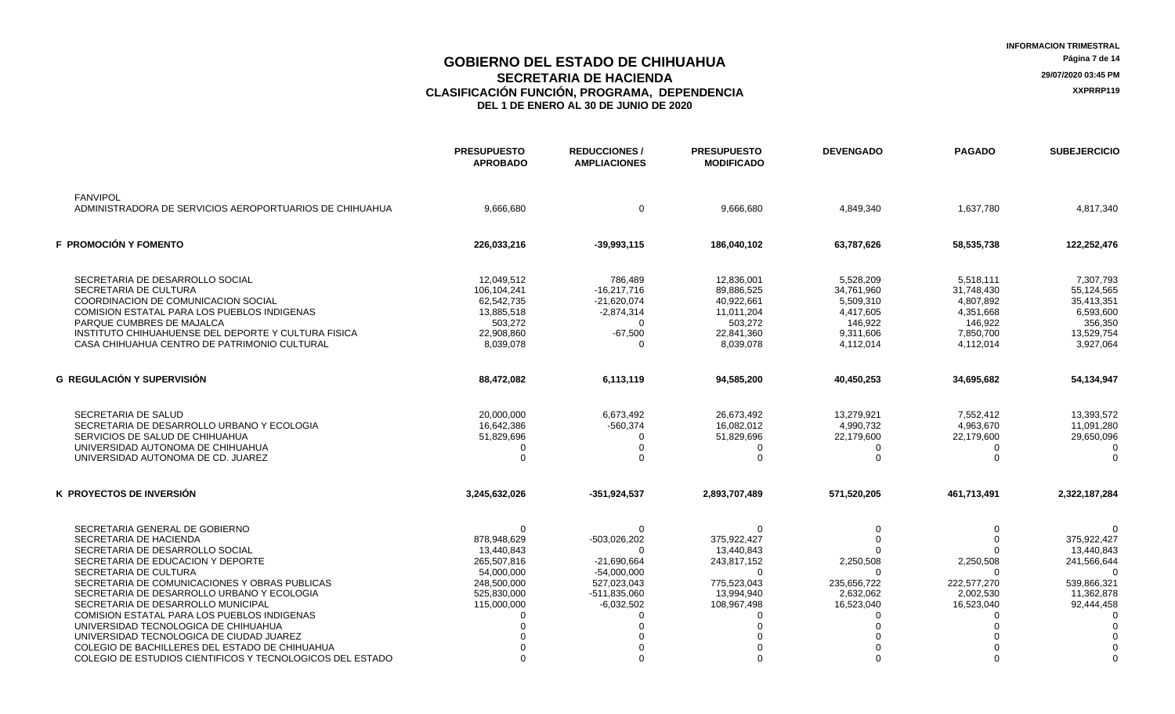|                                                                                  | <b>PRESUPUESTO</b><br><b>APROBADO</b> | <b>REDUCCIONES/</b><br><b>AMPLIACIONES</b> | <b>PRESUPUESTO</b><br><b>MODIFICADO</b> | <b>DEVENGADO</b>       | <b>PAGADO</b>        | <b>SUBEJERCICIO</b>   |
|----------------------------------------------------------------------------------|---------------------------------------|--------------------------------------------|-----------------------------------------|------------------------|----------------------|-----------------------|
| <b>FANVIPOL</b>                                                                  |                                       |                                            |                                         |                        |                      |                       |
| ADMINISTRADORA DE SERVICIOS AEROPORTUARIOS DE CHIHUAHUA                          | 9,666,680                             | 0                                          | 9,666,680                               | 4,849,340              | 1,637,780            | 4,817,340             |
| F PROMOCIÓN Y FOMENTO                                                            | 226,033,216                           | $-39,993,115$                              | 186,040,102                             | 63,787,626             | 58,535,738           | 122,252,476           |
| SECRETARIA DE DESARROLLO SOCIAL                                                  | 12,049,512                            | 786,489                                    | 12,836,001                              | 5,528,209              | 5,518,111            | 7,307,793             |
| SECRETARIA DE CULTURA                                                            | 106,104,241                           | $-16.217.716$                              | 89.886.525                              | 34,761,960             | 31,748,430           | 55,124,565            |
| COORDINACION DE COMUNICACION SOCIAL                                              | 62,542,735                            | $-21,620,074$                              | 40,922,661                              | 5,509,310              | 4,807,892            | 35,413,351            |
| <b>COMISION ESTATAL PARA LOS PUEBLOS INDIGENAS</b>                               | 13,885,518                            |                                            | 11,011,204                              | 4,417,605              |                      |                       |
|                                                                                  |                                       | $-2,874,314$<br>$\Omega$                   |                                         |                        | 4,351,668            | 6,593,600             |
| PARQUE CUMBRES DE MAJALCA<br>INSTITUTO CHIHUAHUENSE DEL DEPORTE Y CULTURA FISICA | 503,272<br>22,908,860                 |                                            | 503,272<br>22,841,360                   | 146,922                | 146,922<br>7,850,700 | 356,350<br>13,529,754 |
| CASA CHIHUAHUA CENTRO DE PATRIMONIO CULTURAL                                     | 8,039,078                             | $-67,500$                                  | 8,039,078                               | 9,311,606<br>4,112,014 | 4,112,014            | 3,927,064             |
|                                                                                  |                                       |                                            |                                         |                        |                      |                       |
| G REGULACIÓN Y SUPERVISIÓN                                                       | 88,472,082                            | 6,113,119                                  | 94,585,200                              | 40,450,253             | 34,695,682           | 54,134,947            |
| SECRETARIA DE SALUD                                                              | 20,000,000                            | 6,673,492                                  | 26,673,492                              | 13,279,921             | 7,552,412            | 13,393,572            |
| SECRETARIA DE DESARROLLO URBANO Y ECOLOGIA                                       | 16,642,386                            | $-560,374$                                 | 16,082,012                              | 4,990,732              | 4,963,670            | 11,091,280            |
| SERVICIOS DE SALUD DE CHIHUAHUA                                                  | 51,829,696                            | $\Omega$                                   | 51,829,696                              | 22,179,600             | 22,179,600           | 29,650,096            |
| UNIVERSIDAD AUTONOMA DE CHIHUAHUA                                                | $\Omega$                              | $\Omega$                                   |                                         | $\Omega$               | 0                    |                       |
| UNIVERSIDAD AUTONOMA DE CD. JUAREZ                                               | $\Omega$                              | <sup>n</sup>                               | $\Omega$                                | $\Omega$               | $\Omega$             |                       |
| K PROYECTOS DE INVERSIÓN                                                         | 3,245,632,026                         | $-351,924,537$                             | 2,893,707,489                           | 571,520,205            | 461,713,491          | 2,322,187,284         |
|                                                                                  |                                       |                                            |                                         |                        |                      |                       |
| SECRETARIA GENERAL DE GOBIERNO                                                   |                                       | <sup>0</sup>                               |                                         |                        | 0                    |                       |
| SECRETARIA DE HACIENDA                                                           | 878,948,629                           | $-503,026,202$                             | 375,922,427                             |                        |                      | 375,922,427           |
| SECRETARIA DE DESARROLLO SOCIAL                                                  | 13,440,843                            |                                            | 13,440,843                              |                        |                      | 13,440,843            |
| SECRETARIA DE EDUCACION Y DEPORTE                                                | 265,507,816                           | $-21,690,664$                              | 243,817,152                             | 2,250,508              | 2,250,508            | 241,566,644           |
| SECRETARIA DE CULTURA                                                            | 54,000,000                            | $-54,000,000$                              | $\Omega$                                | $\Omega$               | $\Omega$             | $\Omega$              |
| SECRETARIA DE COMUNICACIONES Y OBRAS PUBLICAS                                    | 248,500,000                           | 527,023,043                                | 775,523,043                             | 235,656,722            | 222,577,270          | 539,866,321           |
| SECRETARIA DE DESARROLLO URBANO Y ECOLOGIA                                       | 525,830,000                           | $-511,835,060$                             | 13,994,940                              | 2,632,062              | 2,002,530            | 11,362,878            |
| SECRETARIA DE DESARROLLO MUNICIPAL                                               | 115,000,000                           | $-6,032,502$                               | 108,967,498                             | 16,523,040             | 16,523,040           | 92,444,458            |
| <b>COMISION ESTATAL PARA LOS PUEBLOS INDIGENAS</b>                               |                                       |                                            |                                         |                        |                      |                       |
| UNIVERSIDAD TECNOLOGICA DE CHIHUAHUA                                             |                                       |                                            |                                         |                        |                      |                       |
| UNIVERSIDAD TECNOLOGICA DE CIUDAD JUAREZ                                         |                                       |                                            |                                         |                        |                      |                       |
| COLEGIO DE BACHILLERES DEL ESTADO DE CHIHUAHUA                                   |                                       |                                            |                                         |                        |                      |                       |
| COLEGIO DE ESTUDIOS CIENTIFICOS Y TECNOLOGICOS DEL ESTADO                        |                                       | $\Omega$                                   |                                         |                        |                      |                       |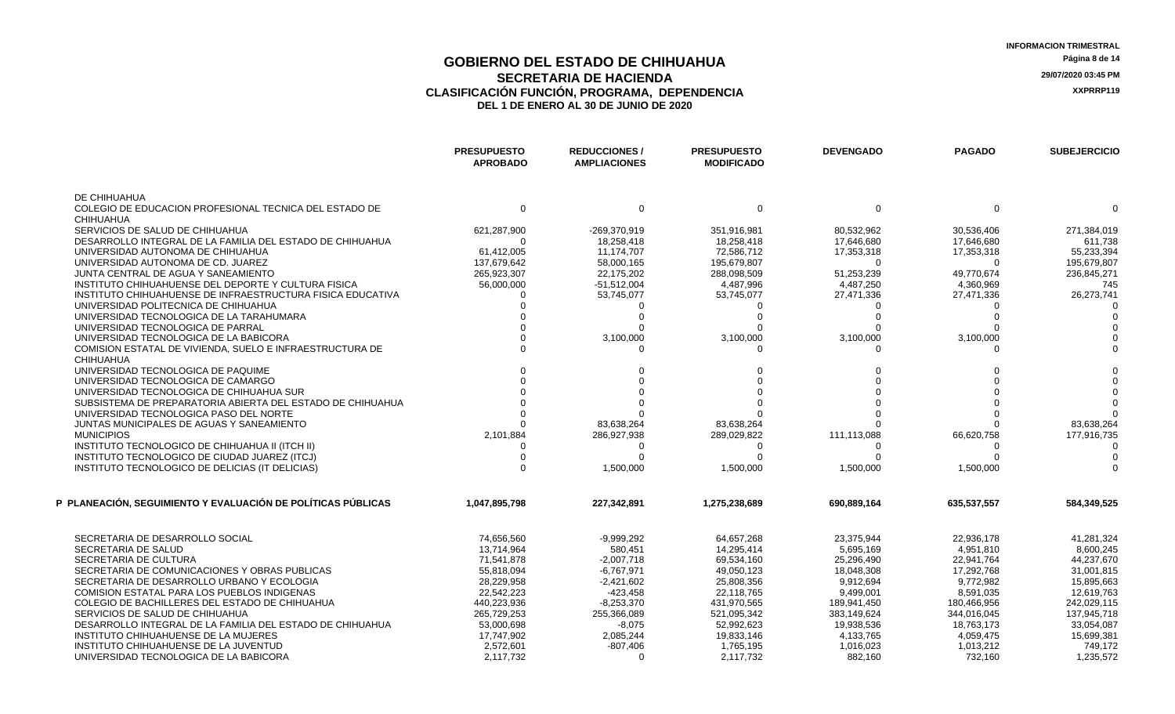|                                                                                                      | <b>PRESUPUESTO</b><br><b>APROBADO</b> | <b>REDUCCIONES/</b><br><b>AMPLIACIONES</b> | <b>PRESUPUESTO</b><br><b>MODIFICADO</b> | <b>DEVENGADO</b> | <b>PAGADO</b> | <b>SUBEJERCICIO</b> |
|------------------------------------------------------------------------------------------------------|---------------------------------------|--------------------------------------------|-----------------------------------------|------------------|---------------|---------------------|
| DE CHIHUAHUA                                                                                         |                                       |                                            |                                         |                  |               |                     |
| COLEGIO DE EDUCACION PROFESIONAL TECNICA DEL ESTADO DE                                               | $\Omega$                              | $\Omega$                                   | $\Omega$                                | $\Omega$         | $\Omega$      |                     |
| <b>CHIHUAHUA</b>                                                                                     |                                       |                                            |                                         |                  |               |                     |
| SERVICIOS DE SALUD DE CHIHUAHUA                                                                      | 621,287,900                           | -269,370,919                               | 351,916,981                             | 80,532,962       | 30,536,406    | 271,384,019         |
| DESARROLLO INTEGRAL DE LA FAMILIA DEL ESTADO DE CHIHUAHUA                                            | $\Omega$                              | 18,258,418                                 | 18,258,418                              | 17,646,680       | 17,646,680    | 611,738             |
| UNIVERSIDAD AUTONOMA DE CHIHUAHUA                                                                    | 61,412,005                            | 11,174,707                                 | 72,586,712                              | 17,353,318       | 17,353,318    | 55,233,394          |
| UNIVERSIDAD AUTONOMA DE CD. JUAREZ                                                                   | 137,679,642                           | 58,000,165                                 | 195,679,807                             |                  | $\Omega$      | 195,679,807         |
| JUNTA CENTRAL DE AGUA Y SANEAMIENTO                                                                  | 265,923,307                           | 22,175,202                                 | 288.098.509                             | 51,253,239       | 49,770,674    | 236,845,271         |
| INSTITUTO CHIHUAHUENSE DEL DEPORTE Y CULTURA FISICA                                                  | 56,000,000                            | $-51,512,004$                              | 4,487,996                               | 4,487,250        | 4,360,969     | 745                 |
| INSTITUTO CHIHUAHUENSE DE INFRAESTRUCTURA FISICA EDUCATIVA                                           | $\Omega$                              | 53,745,077                                 | 53,745,077                              | 27,471,336       | 27,471,336    | 26,273,741          |
| UNIVERSIDAD POLITECNICA DE CHIHUAHUA                                                                 |                                       |                                            |                                         |                  |               |                     |
| UNIVERSIDAD TECNOLOGICA DE LA TARAHUMARA                                                             |                                       | $\Omega$                                   |                                         |                  |               |                     |
| UNIVERSIDAD TECNOLOGICA DE PARRAL                                                                    |                                       |                                            |                                         |                  |               |                     |
| UNIVERSIDAD TECNOLOGICA DE LA BABICORA                                                               |                                       | 3,100,000                                  | 3,100,000                               | 3,100,000        | 3,100,000     |                     |
| COMISION ESTATAL DE VIVIENDA. SUELO E INFRAESTRUCTURA DE<br><b>CHIHUAHUA</b>                         |                                       | <sup>0</sup>                               | ∩                                       | $\Omega$         |               |                     |
| UNIVERSIDAD TECNOLOGICA DE PAQUIME                                                                   |                                       |                                            |                                         |                  |               |                     |
| UNIVERSIDAD TECNOLOGICA DE CAMARGO                                                                   |                                       |                                            |                                         |                  |               |                     |
| UNIVERSIDAD TECNOLOGICA DE CHIHUAHUA SUR                                                             |                                       |                                            |                                         |                  |               |                     |
| SUBSISTEMA DE PREPARATORIA ABIERTA DEL ESTADO DE CHIHUAHUA                                           |                                       |                                            |                                         |                  |               |                     |
| UNIVERSIDAD TECNOLOGICA PASO DEL NORTE                                                               |                                       |                                            |                                         |                  |               |                     |
| JUNTAS MUNICIPALES DE AGUAS Y SANEAMIENTO                                                            |                                       | 83,638,264                                 | 83,638,264                              |                  |               | 83,638,264          |
| <b>MUNICIPIOS</b>                                                                                    | 2,101,884                             | 286,927,938                                | 289,029,822                             | 111,113,088      | 66,620,758    | 177,916,735         |
| INSTITUTO TECNOLOGICO DE CHIHUAHUA II (ITCH II)                                                      | $\Omega$                              | $\Omega$                                   | $\Omega$                                | $\Omega$         | $\Omega$      |                     |
| INSTITUTO TECNOLOGICO DE CIUDAD JUAREZ (ITCJ)                                                        | $\Omega$                              | $\Omega$                                   |                                         |                  |               |                     |
| INSTITUTO TECNOLOGICO DE DELICIAS (IT DELICIAS)                                                      | $\Omega$                              | 1,500,000                                  | 1,500,000                               | 1,500,000        | 1,500,000     |                     |
|                                                                                                      |                                       |                                            |                                         |                  |               |                     |
| P PLANEACIÓN, SEGUIMIENTO Y EVALUACIÓN DE POLÍTICAS PÚBLICAS                                         | 1,047,895,798                         | 227,342,891                                | 1,275,238,689                           | 690,889,164      | 635,537,557   | 584,349,525         |
| SECRETARIA DE DESARROLLO SOCIAL                                                                      | 74.656.560                            | $-9.999.292$                               | 64,657,268                              | 23.375.944       | 22.936.178    | 41,281,324          |
| SECRETARIA DE SALUD                                                                                  | 13,714,964                            | 580,451                                    | 14.295.414                              | 5,695,169        | 4,951,810     | 8,600,245           |
| SECRETARIA DE CULTURA                                                                                | 71,541,878                            | $-2,007,718$                               | 69,534,160                              | 25,296,490       | 22,941,764    | 44,237,670          |
| SECRETARIA DE COMUNICACIONES Y OBRAS PUBLICAS                                                        | 55,818,094                            | $-6,767,971$                               | 49,050,123                              | 18,048,308       | 17,292,768    | 31,001,815          |
| SECRETARIA DE DESARROLLO URBANO Y ECOLOGIA                                                           | 28,229,958                            |                                            | 25,808,356                              | 9,912,694        |               |                     |
|                                                                                                      |                                       | -2,421,602                                 |                                         |                  | 9,772,982     | 15,895,663          |
| <b>COMISION ESTATAL PARA LOS PUEBLOS INDIGENAS</b><br>COLEGIO DE BACHILLERES DEL ESTADO DE CHIHUAHUA | 22,542,223                            | $-423,458$                                 | 22,118,765                              | 9,499,001        | 8,591,035     | 12,619,763          |
|                                                                                                      | 440,223,936                           | $-8,253,370$                               | 431,970,565                             | 189,941,450      | 180.466.956   | 242,029,115         |
| SERVICIOS DE SALUD DE CHIHUAHUA                                                                      | 265,729,253                           | 255,366,089                                | 521,095,342                             | 383,149,624      | 344,016,045   | 137,945,718         |
| DESARROLLO INTEGRAL DE LA FAMILIA DEL ESTADO DE CHIHUAHUA                                            | 53,000,698                            | $-8,075$                                   | 52,992,623                              | 19,938,536       | 18,763,173    | 33,054,087          |
| INSTITUTO CHIHUAHUENSE DE LA MUJERES                                                                 | 17,747,902                            | 2,085,244                                  | 19,833,146                              | 4,133,765        | 4,059,475     | 15,699,381          |
| INSTITUTO CHIHUAHUENSE DE LA JUVENTUD                                                                | 2,572,601                             | $-807,406$                                 | 1,765,195                               | 1,016,023        | 1,013,212     | 749,172             |
| UNIVERSIDAD TECNOLOGICA DE LA BABICORA                                                               | 2,117,732                             | $\Omega$                                   | 2,117,732                               | 882,160          | 732,160       | 1,235,572           |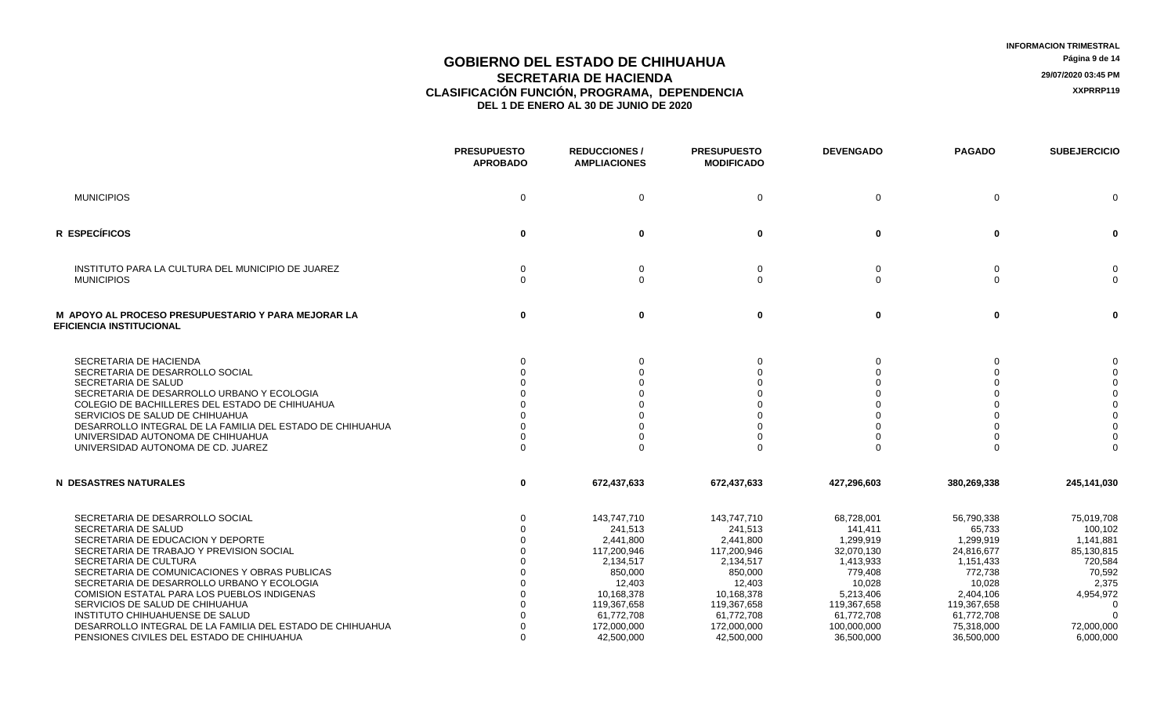|                                                                                                                                                                                                                                                                                                                                                                                                                                                                                                              | <b>PRESUPUESTO</b><br><b>APROBADO</b> | <b>REDUCCIONES/</b><br><b>AMPLIACIONES</b>                                                                                                                   | <b>PRESUPUESTO</b><br><b>MODIFICADO</b>                                                                                                                      | <b>DEVENGADO</b>                                                                                                                                          | <b>PAGADO</b>                                                                                                                                           | <b>SUBEJERCICIO</b>                                                                                                    |
|--------------------------------------------------------------------------------------------------------------------------------------------------------------------------------------------------------------------------------------------------------------------------------------------------------------------------------------------------------------------------------------------------------------------------------------------------------------------------------------------------------------|---------------------------------------|--------------------------------------------------------------------------------------------------------------------------------------------------------------|--------------------------------------------------------------------------------------------------------------------------------------------------------------|-----------------------------------------------------------------------------------------------------------------------------------------------------------|---------------------------------------------------------------------------------------------------------------------------------------------------------|------------------------------------------------------------------------------------------------------------------------|
| <b>MUNICIPIOS</b>                                                                                                                                                                                                                                                                                                                                                                                                                                                                                            | 0                                     | $\mathbf 0$                                                                                                                                                  | $\Omega$                                                                                                                                                     | $\mathbf 0$                                                                                                                                               | $\Omega$                                                                                                                                                | $\Omega$                                                                                                               |
| R ESPECÍFICOS                                                                                                                                                                                                                                                                                                                                                                                                                                                                                                | $\bf{0}$                              | 0                                                                                                                                                            | $\bf{0}$                                                                                                                                                     | 0                                                                                                                                                         | $\mathbf{0}$                                                                                                                                            | $\mathbf 0$                                                                                                            |
| INSTITUTO PARA LA CULTURA DEL MUNICIPIO DE JUAREZ<br><b>MUNICIPIOS</b>                                                                                                                                                                                                                                                                                                                                                                                                                                       | 0<br>$\Omega$                         | 0<br>$\Omega$                                                                                                                                                | $\mathbf 0$<br>$\Omega$                                                                                                                                      | 0<br>$\mathbf{0}$                                                                                                                                         | 0<br>$\Omega$                                                                                                                                           | 0<br>$\Omega$                                                                                                          |
| M APOYO AL PROCESO PRESUPUESTARIO Y PARA MEJORAR LA<br><b>EFICIENCIA INSTITUCIONAL</b>                                                                                                                                                                                                                                                                                                                                                                                                                       | $\bf{0}$                              | $\mathbf 0$                                                                                                                                                  | $\mathbf 0$                                                                                                                                                  | $\mathbf 0$                                                                                                                                               | $\mathbf 0$                                                                                                                                             | $\mathbf 0$                                                                                                            |
| SECRETARIA DE HACIENDA<br>SECRETARIA DE DESARROLLO SOCIAL<br>SECRETARIA DE SALUD<br>SECRETARIA DE DESARROLLO URBANO Y ECOLOGIA<br>COLEGIO DE BACHILLERES DEL ESTADO DE CHIHUAHUA<br>SERVICIOS DE SALUD DE CHIHUAHUA<br>DESARROLLO INTEGRAL DE LA FAMILIA DEL ESTADO DE CHIHUAHUA<br>UNIVERSIDAD AUTONOMA DE CHIHUAHUA<br>UNIVERSIDAD AUTONOMA DE CD. JUAREZ                                                                                                                                                  |                                       |                                                                                                                                                              |                                                                                                                                                              |                                                                                                                                                           |                                                                                                                                                         | $\Omega$<br>$\mathbf 0$<br>$\Omega$<br>$\Omega$<br>$\Omega$<br>$\Omega$<br>$\Omega$                                    |
| <b>N DESASTRES NATURALES</b>                                                                                                                                                                                                                                                                                                                                                                                                                                                                                 | $\mathbf 0$                           | 672,437,633                                                                                                                                                  | 672,437,633                                                                                                                                                  | 427,296,603                                                                                                                                               | 380,269,338                                                                                                                                             | 245,141,030                                                                                                            |
| SECRETARIA DE DESARROLLO SOCIAL<br><b>SECRETARIA DE SALUD</b><br>SECRETARIA DE EDUCACION Y DEPORTE<br>SECRETARIA DE TRABAJO Y PREVISION SOCIAL<br>SECRETARIA DE CULTURA<br>SECRETARIA DE COMUNICACIONES Y OBRAS PUBLICAS<br>SECRETARIA DE DESARROLLO URBANO Y ECOLOGIA<br><b>COMISION ESTATAL PARA LOS PUEBLOS INDIGENAS</b><br>SERVICIOS DE SALUD DE CHIHUAHUA<br>INSTITUTO CHIHUAHUENSE DE SALUD<br>DESARROLLO INTEGRAL DE LA FAMILIA DEL ESTADO DE CHIHUAHUA<br>PENSIONES CIVILES DEL ESTADO DE CHIHUAHUA | $\Omega$                              | 143,747,710<br>241,513<br>2,441,800<br>117,200,946<br>2,134,517<br>850,000<br>12,403<br>10,168,378<br>119,367,658<br>61,772,708<br>172,000,000<br>42,500,000 | 143,747,710<br>241,513<br>2,441,800<br>117,200,946<br>2,134,517<br>850,000<br>12,403<br>10,168,378<br>119,367,658<br>61,772,708<br>172,000,000<br>42,500,000 | 68,728,001<br>141,411<br>1,299,919<br>32,070,130<br>1,413,933<br>779,408<br>10.028<br>5,213,406<br>119,367,658<br>61,772,708<br>100,000,000<br>36,500,000 | 56,790,338<br>65,733<br>1,299,919<br>24,816,677<br>1,151,433<br>772,738<br>10.028<br>2,404,106<br>119,367,658<br>61,772,708<br>75,318,000<br>36,500,000 | 75,019,708<br>100,102<br>1,141,881<br>85,130,815<br>720,584<br>70,592<br>2,375<br>4,954,972<br>72,000,000<br>6,000,000 |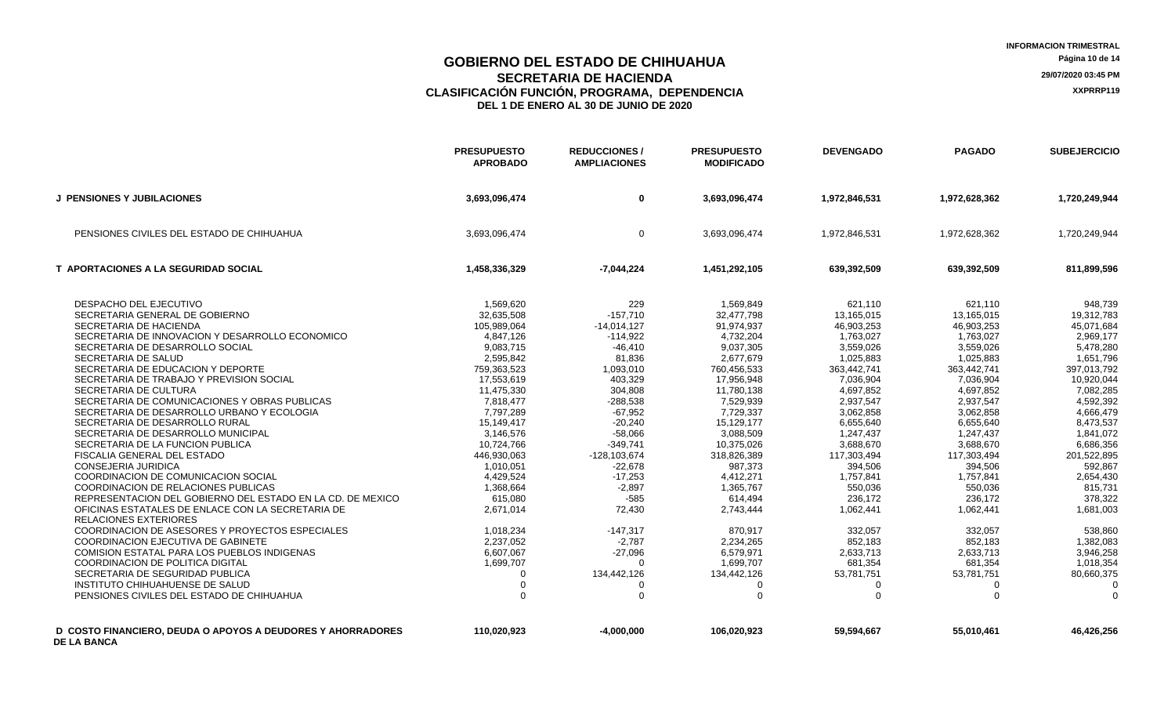|                                                                                           | <b>PRESUPUESTO</b><br><b>APROBADO</b> | <b>REDUCCIONES/</b><br><b>AMPLIACIONES</b> | <b>PRESUPUESTO</b><br><b>MODIFICADO</b> | <b>DEVENGADO</b>         | <b>PAGADO</b>            | <b>SUBEJERCICIO</b>       |
|-------------------------------------------------------------------------------------------|---------------------------------------|--------------------------------------------|-----------------------------------------|--------------------------|--------------------------|---------------------------|
| <b>J PENSIONES Y JUBILACIONES</b>                                                         | 3,693,096,474                         | 0                                          | 3,693,096,474                           | 1,972,846,531            | 1,972,628,362            | 1,720,249,944             |
| PENSIONES CIVILES DEL ESTADO DE CHIHUAHUA                                                 | 3.693.096.474                         | $\Omega$                                   | 3,693,096,474                           | 1,972,846,531            | 1.972.628.362            | 1,720,249,944             |
| <b>T APORTACIONES A LA SEGURIDAD SOCIAL</b>                                               | 1,458,336,329                         | $-7,044,224$                               | 1,451,292,105                           | 639,392,509              | 639,392,509              | 811,899,596               |
| DESPACHO DEL EJECUTIVO                                                                    | 1,569,620                             | 229                                        | 1,569,849                               | 621,110                  | 621,110                  | 948,739                   |
| SECRETARIA GENERAL DE GOBIERNO                                                            | 32.635.508                            | $-157.710$                                 | 32.477.798                              | 13.165.015               | 13,165,015               | 19,312,783                |
| SECRETARIA DE HACIENDA                                                                    | 105,989,064                           | $-14,014,127$                              | 91,974,937                              | 46,903,253               | 46,903,253               | 45,071,684                |
| SECRETARIA DE INNOVACION Y DESARROLLO ECONOMICO                                           | 4,847,126                             | $-114,922$                                 | 4,732,204                               | 1,763,027                | 1,763,027                | 2,969,177                 |
| SECRETARIA DE DESARROLLO SOCIAL                                                           | 9,083,715                             | $-46,410$                                  | 9,037,305                               | 3,559,026                | 3,559,026                | 5,478,280                 |
| SECRETARIA DE SALUD                                                                       | 2,595,842                             | 81,836                                     | 2,677,679                               | 1,025,883                | 1,025,883                | 1,651,796                 |
| SECRETARIA DE EDUCACION Y DEPORTE                                                         | 759.363.523<br>17,553,619             | 1,093,010<br>403,329                       | 760,456,533<br>17,956,948               | 363,442,741<br>7,036,904 | 363,442,741<br>7,036,904 | 397.013.792<br>10,920,044 |
| SECRETARIA DE TRABAJO Y PREVISION SOCIAL<br>SECRETARIA DE CULTURA                         | 11.475.330                            | 304.808                                    | 11,780,138                              | 4.697.852                | 4.697.852                | 7,082,285                 |
| SECRETARIA DE COMUNICACIONES Y OBRAS PUBLICAS                                             | 7,818,477                             | $-288,538$                                 | 7,529,939                               | 2,937,547                | 2,937,547                | 4,592,392                 |
| SECRETARIA DE DESARROLLO URBANO Y ECOLOGIA                                                | 7,797,289                             | $-67,952$                                  | 7,729,337                               | 3,062,858                | 3,062,858                | 4,666,479                 |
| SECRETARIA DE DESARROLLO RURAL                                                            | 15.149.417                            | $-20,240$                                  | 15,129,177                              | 6.655.640                | 6,655,640                | 8,473,537                 |
| SECRETARIA DE DESARROLLO MUNICIPAL                                                        | 3,146,576                             | $-58,066$                                  | 3,088,509                               | 1,247,437                | 1,247,437                | 1,841,072                 |
| SECRETARIA DE LA FUNCION PUBLICA                                                          | 10,724,766                            | $-349,741$                                 | 10,375,026                              | 3,688,670                | 3,688,670                | 6,686,356                 |
| FISCALIA GENERAL DEL ESTADO                                                               | 446,930,063                           | -128,103,674                               | 318,826,389                             | 117,303,494              | 117,303,494              | 201,522,895               |
| <b>CONSEJERIA JURIDICA</b>                                                                | 1,010,051                             | $-22,678$                                  | 987,373                                 | 394,506                  | 394,506                  | 592,867                   |
| COORDINACION DE COMUNICACION SOCIAL                                                       | 4,429,524                             | $-17,253$                                  | 4,412,271                               | 1,757,841                | 1,757,841                | 2,654,430                 |
| <b>COORDINACION DE RELACIONES PUBLICAS</b>                                                | 1,368,664                             | $-2,897$                                   | 1,365,767                               | 550,036                  | 550,036                  | 815,731                   |
| REPRESENTACION DEL GOBIERNO DEL ESTADO EN LA CD. DE MEXICO                                | 615.080                               | -585                                       | 614.494                                 | 236,172                  | 236,172                  | 378,322                   |
| OFICINAS ESTATALES DE ENLACE CON LA SECRETARIA DE<br><b>RELACIONES EXTERIORES</b>         | 2,671,014                             | 72,430                                     | 2,743,444                               | 1,062,441                | 1,062,441                | 1,681,003                 |
| COORDINACION DE ASESORES Y PROYECTOS ESPECIALES                                           | 1,018,234                             | $-147,317$                                 | 870,917                                 | 332,057                  | 332.057                  | 538,860                   |
| <b>COORDINACION EJECUTIVA DE GABINETE</b>                                                 | 2,237,052                             | $-2,787$                                   | 2,234,265                               | 852,183                  | 852,183                  | 1,382,083                 |
| <b>COMISION ESTATAL PARA LOS PUEBLOS INDIGENAS</b>                                        | 6,607,067                             | $-27,096$                                  | 6,579,971                               | 2,633,713                | 2,633,713                | 3,946,258                 |
| COORDINACION DE POLITICA DIGITAL                                                          | 1,699,707                             | $\Omega$                                   | 1,699,707                               | 681,354                  | 681,354                  | 1,018,354                 |
| SECRETARIA DE SEGURIDAD PUBLICA                                                           | $\Omega$                              | 134,442,126                                | 134,442,126                             | 53,781,751               | 53,781,751               | 80,660,375                |
| INSTITUTO CHIHUAHUENSE DE SALUD                                                           | $\mathbf 0$                           | 0                                          | 0                                       |                          | 0                        | $\Omega$                  |
| PENSIONES CIVILES DEL ESTADO DE CHIHUAHUA                                                 | $\Omega$                              | $\Omega$                                   | $\Omega$                                | $\Omega$                 | $\Omega$                 | $\Omega$                  |
| <b>D. COSTO FINANCIERO, DEUDA O APOYOS A DEUDORES Y AHORRADORES</b><br><b>DE LA BANCA</b> | 110.020.923                           | $-4.000.000$                               | 106.020.923                             | 59.594.667               | 55.010.461               | 46,426,256                |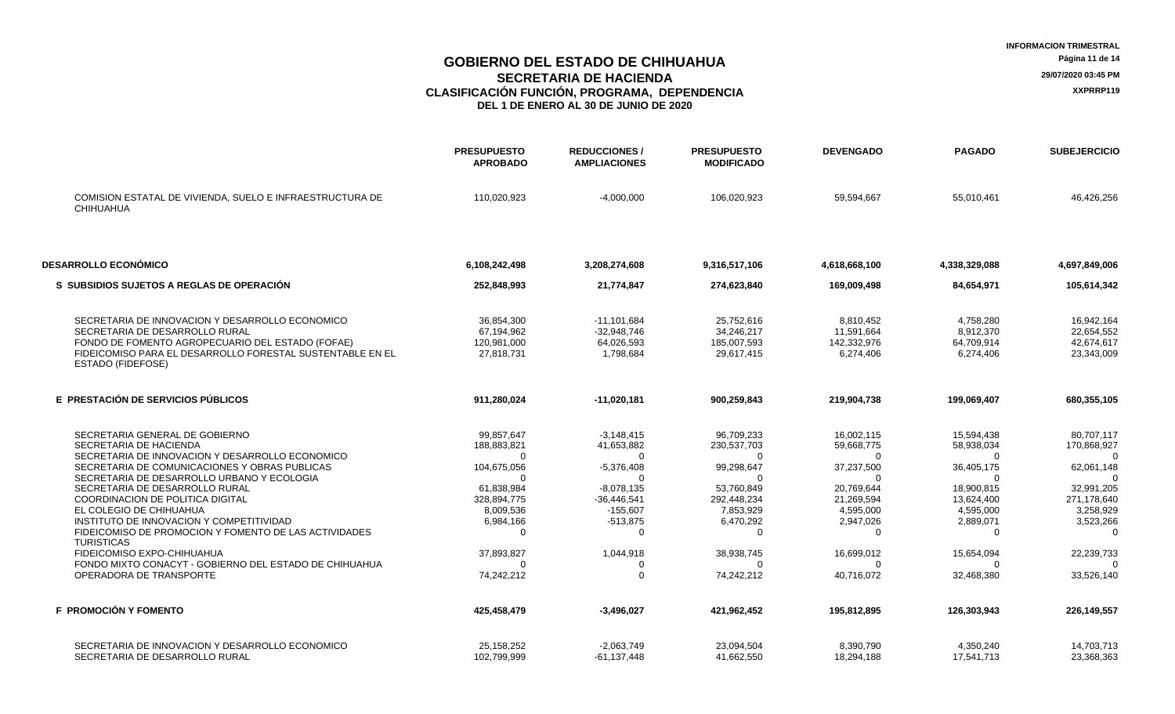### **GOBIERNO DEL ESTADO DE CHIHUAHUA Página 11 de 14 SECRETARIA DE HACIENDA 29/07/2020 03:45 PM CLASIFICACIÓN FUNCIÓN, PROGRAMA, DEPENDENCIA DEL 1 DE ENERO AL 30 DE JUNIO DE 2020**

|                                                                                                                                                                                                                                                                                                                                                                                                                                                                                                                                                          | <b>PRESUPUESTO</b><br><b>APROBADO</b>                                                                                                                                       | <b>REDUCCIONES /</b><br><b>AMPLIACIONES</b>                                                                                                                   | <b>PRESUPUESTO</b><br><b>MODIFICADO</b>                                                                                                | <b>DEVENGADO</b>                                                                                                                                 | <b>PAGADO</b>                                                                                                                                                            | <b>SUBEJERCICIO</b>                                                                                                                                                        |
|----------------------------------------------------------------------------------------------------------------------------------------------------------------------------------------------------------------------------------------------------------------------------------------------------------------------------------------------------------------------------------------------------------------------------------------------------------------------------------------------------------------------------------------------------------|-----------------------------------------------------------------------------------------------------------------------------------------------------------------------------|---------------------------------------------------------------------------------------------------------------------------------------------------------------|----------------------------------------------------------------------------------------------------------------------------------------|--------------------------------------------------------------------------------------------------------------------------------------------------|--------------------------------------------------------------------------------------------------------------------------------------------------------------------------|----------------------------------------------------------------------------------------------------------------------------------------------------------------------------|
| COMISION ESTATAL DE VIVIENDA, SUELO E INFRAESTRUCTURA DE<br><b>CHIHUAHUA</b>                                                                                                                                                                                                                                                                                                                                                                                                                                                                             | 110,020,923                                                                                                                                                                 | $-4,000,000$                                                                                                                                                  | 106,020,923                                                                                                                            | 59,594,667                                                                                                                                       | 55,010,461                                                                                                                                                               | 46,426,256                                                                                                                                                                 |
| <b>DESARROLLO ECONÓMICO</b>                                                                                                                                                                                                                                                                                                                                                                                                                                                                                                                              | 6,108,242,498                                                                                                                                                               | 3,208,274,608                                                                                                                                                 | 9,316,517,106                                                                                                                          | 4,618,668,100                                                                                                                                    | 4,338,329,088                                                                                                                                                            | 4,697,849,006                                                                                                                                                              |
| S SUBSIDIOS SUJETOS A REGLAS DE OPERACION                                                                                                                                                                                                                                                                                                                                                                                                                                                                                                                | 252,848,993                                                                                                                                                                 | 21,774,847                                                                                                                                                    | 274,623,840                                                                                                                            | 169,009,498                                                                                                                                      | 84,654,971                                                                                                                                                               | 105,614,342                                                                                                                                                                |
| SECRETARIA DE INNOVACION Y DESARROLLO ECONOMICO<br>SECRETARIA DE DESARROLLO RURAL<br>FONDO DE FOMENTO AGROPECUARIO DEL ESTADO (FOFAE)<br>FIDEICOMISO PARA EL DESARROLLO FORESTAL SUSTENTABLE EN EL<br>ESTADO (FIDEFOSE)                                                                                                                                                                                                                                                                                                                                  | 36,854,300<br>67,194,962<br>120,981,000<br>27,818,731                                                                                                                       | $-11,101,684$<br>$-32,948,746$<br>64,026,593<br>1,798,684                                                                                                     | 25,752,616<br>34,246,217<br>185,007,593<br>29,617,415                                                                                  | 8,810,452<br>11,591,664<br>142,332,976<br>6,274,406                                                                                              | 4,758,280<br>8,912,370<br>64,709,914<br>6,274,406                                                                                                                        | 16,942,164<br>22,654,552<br>42,674,617<br>23,343,009                                                                                                                       |
| E PRESTACIÓN DE SERVICIOS PÚBLICOS                                                                                                                                                                                                                                                                                                                                                                                                                                                                                                                       | 911,280,024                                                                                                                                                                 | $-11,020,181$                                                                                                                                                 | 900,259,843                                                                                                                            | 219,904,738                                                                                                                                      | 199,069,407                                                                                                                                                              | 680,355,105                                                                                                                                                                |
| SECRETARIA GENERAL DE GOBIERNO<br>SECRETARIA DE HACIENDA<br>SECRETARIA DE INNOVACION Y DESARROLLO ECONOMICO<br>SECRETARIA DE COMUNICACIONES Y OBRAS PUBLICAS<br>SECRETARIA DE DESARROLLO URBANO Y ECOLOGIA<br>SECRETARIA DE DESARROLLO RURAL<br>COORDINACION DE POLITICA DIGITAL<br>EL COLEGIO DE CHIHUAHUA<br>INSTITUTO DE INNOVACION Y COMPETITIVIDAD<br>FIDEICOMISO DE PROMOCION Y FOMENTO DE LAS ACTIVIDADES<br><b>TURISTICAS</b><br>FIDEICOMISO EXPO-CHIHUAHUA<br>FONDO MIXTO CONACYT - GOBIERNO DEL ESTADO DE CHIHUAHUA<br>OPERADORA DE TRANSPORTE | 99.857.647<br>188,883,821<br>$\Omega$<br>104,675,056<br>$\Omega$<br>61,838,984<br>328,894,775<br>8,009,536<br>6,984,166<br>$\Omega$<br>37,893,827<br>$\Omega$<br>74,242,212 | $-3,148,415$<br>41,653,882<br>$\Omega$<br>$-5,376,408$<br>$-8,078,135$<br>$-36,446,541$<br>$-155,607$<br>$-513,875$<br>$\Omega$<br>1,044,918<br>0<br>$\Omega$ | 96.709.233<br>230,537,703<br>99,298,647<br>53,760,849<br>292,448,234<br>7,853,929<br>6,470,292<br>$\Omega$<br>38,938,745<br>74,242,212 | 16.002.115<br>59,668,775<br>37,237,500<br>20,769,644<br>21,269,594<br>4,595,000<br>2,947,026<br>$\Omega$<br>16,699,012<br>$\Omega$<br>40,716,072 | 15,594,438<br>58,938,034<br>$\Omega$<br>36,405,175<br>$\Omega$<br>18,900,815<br>13,624,400<br>4,595,000<br>2,889,071<br>$\Omega$<br>15,654,094<br>$\Omega$<br>32,468,380 | 80.707.117<br>170,868,927<br>$\Omega$<br>62,061,148<br>$\Omega$<br>32,991,205<br>271,178,640<br>3,258,929<br>3,523,266<br>$\Omega$<br>22,239,733<br>$\Omega$<br>33,526,140 |
| <b>F PROMOCIÓN Y FOMENTO</b>                                                                                                                                                                                                                                                                                                                                                                                                                                                                                                                             | 425,458,479                                                                                                                                                                 | $-3,496,027$                                                                                                                                                  | 421,962,452                                                                                                                            | 195,812,895                                                                                                                                      | 126,303,943                                                                                                                                                              | 226,149,557                                                                                                                                                                |
| SECRETARIA DE INNOVACION Y DESARROLLO ECONOMICO<br>SECRETARIA DE DESARROLLO RURAL                                                                                                                                                                                                                                                                                                                                                                                                                                                                        | 25.158.252<br>102.799.999                                                                                                                                                   | $-2,063,749$<br>$-61.137.448$                                                                                                                                 | 23.094.504<br>41.662.550                                                                                                               | 8.390.790<br>18.294.188                                                                                                                          | 4,350,240<br>17.541.713                                                                                                                                                  | 14,703,713<br>23,368,363                                                                                                                                                   |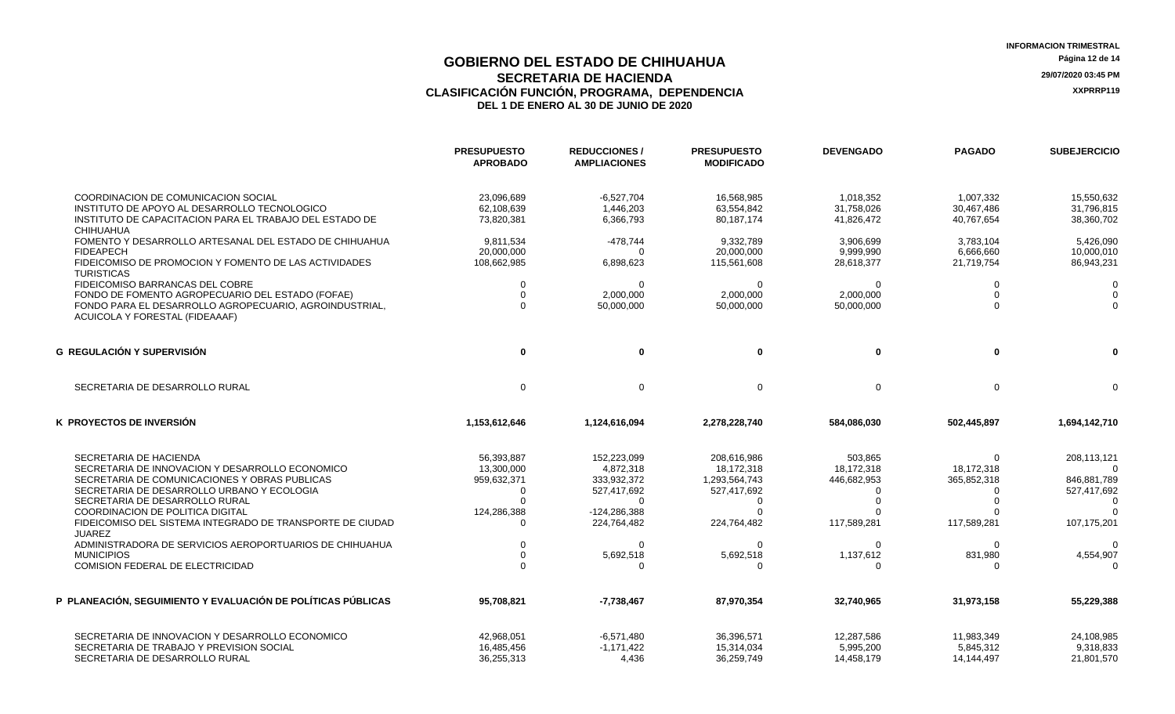|                                                                                         | <b>PRESUPUESTO</b><br><b>APROBADO</b> | <b>REDUCCIONES /</b><br><b>AMPLIACIONES</b> | <b>PRESUPUESTO</b><br><b>MODIFICADO</b> | <b>DEVENGADO</b>      | <b>PAGADO</b> | <b>SUBEJERCICIO</b>     |
|-----------------------------------------------------------------------------------------|---------------------------------------|---------------------------------------------|-----------------------------------------|-----------------------|---------------|-------------------------|
| COORDINACION DE COMUNICACION SOCIAL                                                     | 23.096.689                            | $-6.527.704$                                | 16.568.985                              | 1.018.352             | 1.007.332     | 15.550.632              |
| INSTITUTO DE APOYO AL DESARROLLO TECNOLOGICO                                            | 62,108,639                            | 1,446,203                                   | 63,554,842                              | 31.758.026            | 30,467,486    | 31,796,815              |
| INSTITUTO DE CAPACITACION PARA EL TRABAJO DEL ESTADO DE                                 | 73,820,381                            | 6,366,793                                   | 80,187,174                              | 41,826,472            | 40.767.654    | 38,360,702              |
| CHIHUAHUA                                                                               |                                       |                                             |                                         |                       |               |                         |
| FOMENTO Y DESARROLLO ARTESANAL DEL ESTADO DE CHIHUAHUA                                  | 9.811.534                             | $-478,744$                                  | 9,332,789                               | 3.906.699             | 3.783.104     | 5,426,090               |
| <b>FIDEAPECH</b>                                                                        | 20.000.000                            | $\Omega$                                    | 20.000.000                              | 9.999.990             | 6.666.660     | 10.000.010              |
| FIDEICOMISO DE PROMOCION Y FOMENTO DE LAS ACTIVIDADES                                   | 108,662,985                           | 6,898,623                                   | 115,561,608                             | 28,618,377            | 21,719,754    | 86,943,231              |
| <b>TURISTICAS</b>                                                                       |                                       |                                             |                                         |                       |               |                         |
| FIDEICOMISO BARRANCAS DEL COBRE                                                         | $\Omega$                              | $\Omega$                                    | $\Omega$                                | $\Omega$              | $\Omega$      | $\Omega$                |
| FONDO DE FOMENTO AGROPECUARIO DEL ESTADO (FOFAE)                                        | $\Omega$                              | 2,000,000                                   | 2,000,000                               | 2,000,000             | $\Omega$      | $\Omega$                |
| FONDO PARA EL DESARROLLO AGROPECUARIO, AGROINDUSTRIAL<br>ACUICOLA Y FORESTAL (FIDEAAAF) | $\Omega$                              | 50,000,000                                  | 50,000,000                              | 50,000,000            | $\Omega$      | $\Omega$                |
| <b>G REGULACIÓN Y SUPERVISIÓN</b>                                                       | $\mathbf 0$                           | $\mathbf 0$                                 | $\bf{0}$                                | $\mathbf 0$           | $\bf{0}$      | $\bf{0}$                |
|                                                                                         |                                       |                                             |                                         |                       |               |                         |
| SECRETARIA DE DESARROLLO RURAL                                                          | $\mathbf 0$                           | $\mathbf 0$                                 | $\Omega$                                | $\mathbf 0$           | $\Omega$      | $\Omega$                |
| K PROYECTOS DE INVERSIÓN                                                                | 1,153,612,646                         | 1,124,616,094                               | 2,278,228,740                           | 584,086,030           | 502,445,897   | 1,694,142,710           |
| SECRETARIA DE HACIENDA                                                                  |                                       |                                             |                                         |                       |               |                         |
| SECRETARIA DE INNOVACION Y DESARROLLO ECONOMICO                                         | 56,393,887<br>13,300,000              | 152,223,099<br>4,872,318                    | 208,616,986<br>18,172,318               | 503,865<br>18,172,318 | 18,172,318    | 208,113,121<br>$\Omega$ |
| SECRETARIA DE COMUNICACIONES Y OBRAS PUBLICAS                                           | 959,632,371                           | 333,932,372                                 | 1,293,564,743                           | 446,682,953           | 365,852,318   | 846.881.789             |
| SECRETARIA DE DESARROLLO URBANO Y ECOLOGIA                                              | $\Omega$                              | 527,417,692                                 | 527,417,692                             | <sup>0</sup>          | $\Omega$      | 527,417,692             |
| SECRETARIA DE DESARROLLO RURAL                                                          | $\Omega$                              | $\Omega$                                    | 0                                       |                       |               |                         |
| <b>COORDINACION DE POLITICA DIGITAL</b>                                                 | 124,286,388                           | -124,286,388                                | $\Omega$                                |                       |               |                         |
| FIDEICOMISO DEL SISTEMA INTEGRADO DE TRANSPORTE DE CIUDAD<br><b>JUAREZ</b>              | $\Omega$                              | 224.764.482                                 | 224.764.482                             | 117,589,281           | 117,589,281   | 107,175,201             |
| ADMINISTRADORA DE SERVICIOS AEROPORTUARIOS DE CHIHUAHUA                                 | $\Omega$                              | ∩                                           | $\Omega$                                | $\Omega$              |               |                         |
| <b>MUNICIPIOS</b>                                                                       | $\Omega$                              | 5,692,518                                   | 5,692,518                               | 1,137,612             | 831,980       | 4,554,907               |
| <b>COMISION FEDERAL DE ELECTRICIDAD</b>                                                 | $\Omega$                              | ∩                                           | ∩                                       | $\Omega$              |               |                         |
| P PLANEACIÓN, SEGUIMIENTO Y EVALUACIÓN DE POLÍTICAS PÚBLICAS                            | 95,708,821                            | $-7,738,467$                                | 87,970,354                              | 32,740,965            | 31,973,158    | 55,229,388              |
| SECRETARIA DE INNOVACION Y DESARROLLO ECONOMICO                                         | 42.968.051                            | $-6.571.480$                                | 36.396.571                              | 12.287.586            | 11.983.349    | 24,108,985              |
| SECRETARIA DE TRABAJO Y PREVISION SOCIAL                                                | 16,485,456                            | $-1,171,422$                                | 15,314,034                              | 5,995,200             | 5,845,312     | 9,318,833               |
| SECRETARIA DE DESARROLLO RURAL                                                          | 36,255,313                            | 4,436                                       | 36,259,749                              | 14,458,179            | 14,144,497    | 21,801,570              |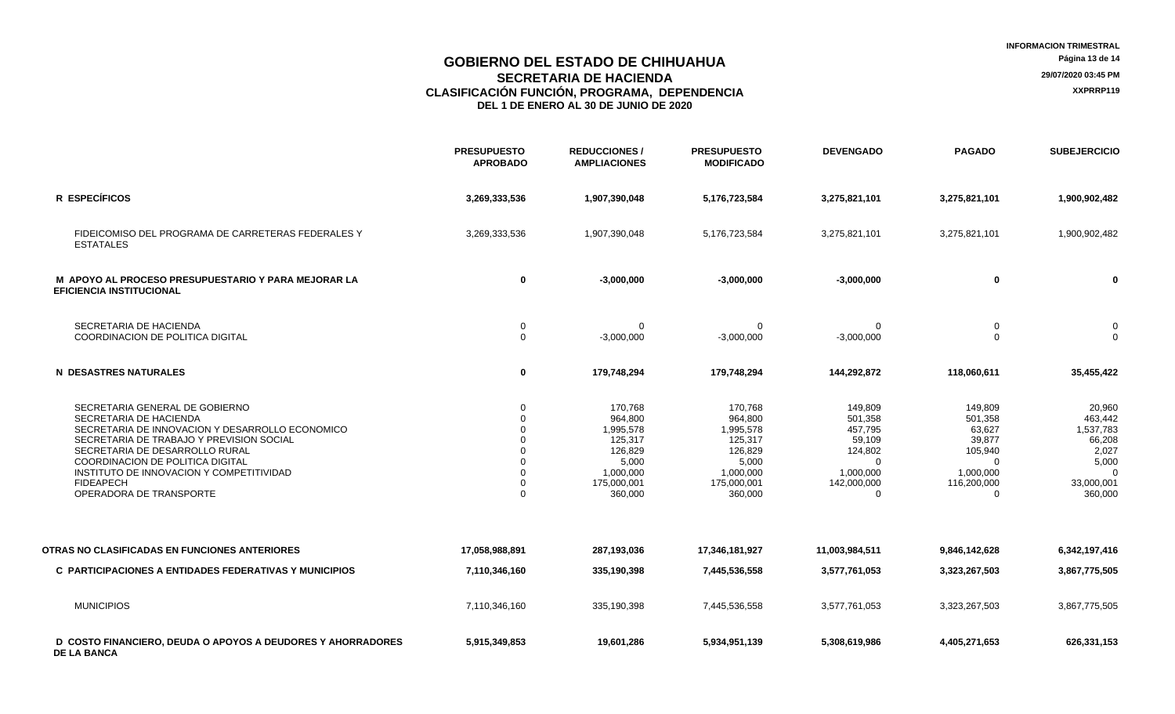|                                                                                                                                                                                                                                                                                                                          | <b>PRESUPUESTO</b><br><b>APROBADO</b> | <b>REDUCCIONES /</b><br><b>AMPLIACIONES</b>                                                           | <b>PRESUPUESTO</b><br><b>MODIFICADO</b>                                                               | <b>DEVENGADO</b>                                                                                       | <b>PAGADO</b>                                                                                         | <b>SUBEJERCICIO</b>                                                                           |
|--------------------------------------------------------------------------------------------------------------------------------------------------------------------------------------------------------------------------------------------------------------------------------------------------------------------------|---------------------------------------|-------------------------------------------------------------------------------------------------------|-------------------------------------------------------------------------------------------------------|--------------------------------------------------------------------------------------------------------|-------------------------------------------------------------------------------------------------------|-----------------------------------------------------------------------------------------------|
| R ESPECÍFICOS                                                                                                                                                                                                                                                                                                            | 3,269,333,536                         | 1,907,390,048                                                                                         | 5,176,723,584                                                                                         | 3,275,821,101                                                                                          | 3,275,821,101                                                                                         | 1,900,902,482                                                                                 |
| FIDEICOMISO DEL PROGRAMA DE CARRETERAS FEDERALES Y<br><b>ESTATALES</b>                                                                                                                                                                                                                                                   | 3,269,333,536                         | 1,907,390,048                                                                                         | 5,176,723,584                                                                                         | 3,275,821,101                                                                                          | 3,275,821,101                                                                                         | 1,900,902,482                                                                                 |
| <b>M APOYO AL PROCESO PRESUPUESTARIO Y PARA MEJORAR LA</b><br><b>EFICIENCIA INSTITUCIONAL</b>                                                                                                                                                                                                                            | 0                                     | $-3,000,000$                                                                                          | $-3,000,000$                                                                                          | $-3,000,000$                                                                                           | 0                                                                                                     | 0                                                                                             |
| SECRETARIA DE HACIENDA<br><b>COORDINACION DE POLITICA DIGITAL</b>                                                                                                                                                                                                                                                        | 0<br>$\mathbf 0$                      | $\Omega$<br>$-3,000,000$                                                                              | $\Omega$<br>$-3,000,000$                                                                              | $\Omega$<br>$-3,000,000$                                                                               | $\mathbf 0$<br>$\mathbf 0$                                                                            | $\mathbf 0$<br>$\Omega$                                                                       |
| <b>N DESASTRES NATURALES</b>                                                                                                                                                                                                                                                                                             | 0                                     | 179,748,294                                                                                           | 179,748,294                                                                                           | 144,292,872                                                                                            | 118,060,611                                                                                           | 35,455,422                                                                                    |
| SECRETARIA GENERAL DE GOBIERNO<br>SECRETARIA DE HACIENDA<br>SECRETARIA DE INNOVACION Y DESARROLLO ECONOMICO<br>SECRETARIA DE TRABAJO Y PREVISION SOCIAL<br>SECRETARIA DE DESARROLLO RURAL<br>COORDINACION DE POLITICA DIGITAL<br>INSTITUTO DE INNOVACION Y COMPETITIVIDAD<br><b>FIDEAPECH</b><br>OPERADORA DE TRANSPORTE | $\Omega$<br>$\Omega$<br>∩<br>$\Omega$ | 170,768<br>964,800<br>1,995,578<br>125,317<br>126,829<br>5,000<br>1,000,000<br>175,000,001<br>360,000 | 170,768<br>964,800<br>1,995,578<br>125,317<br>126,829<br>5,000<br>1,000,000<br>175,000,001<br>360,000 | 149,809<br>501,358<br>457,795<br>59,109<br>124,802<br>$\Omega$<br>1,000,000<br>142,000,000<br>$\Omega$ | 149,809<br>501,358<br>63,627<br>39,877<br>105,940<br>$\Omega$<br>1,000,000<br>116,200,000<br>$\Omega$ | 20,960<br>463,442<br>1,537,783<br>66,208<br>2,027<br>5,000<br>$\cap$<br>33,000,001<br>360,000 |
| OTRAS NO CLASIFICADAS EN FUNCIONES ANTERIORES                                                                                                                                                                                                                                                                            | 17,058,988,891                        | 287,193,036                                                                                           | 17,346,181,927                                                                                        | 11,003,984,511                                                                                         | 9,846,142,628                                                                                         | 6,342,197,416                                                                                 |
| C PARTICIPACIONES A ENTIDADES FEDERATIVAS Y MUNICIPIOS                                                                                                                                                                                                                                                                   | 7,110,346,160                         | 335,190,398                                                                                           | 7,445,536,558                                                                                         | 3,577,761,053                                                                                          | 3,323,267,503                                                                                         | 3,867,775,505                                                                                 |
| <b>MUNICIPIOS</b>                                                                                                                                                                                                                                                                                                        | 7,110,346,160                         | 335,190,398                                                                                           | 7,445,536,558                                                                                         | 3,577,761,053                                                                                          | 3,323,267,503                                                                                         | 3,867,775,505                                                                                 |
| D COSTO FINANCIERO, DEUDA O APOYOS A DEUDORES Y AHORRADORES<br><b>DE LA BANCA</b>                                                                                                                                                                                                                                        | 5,915,349,853                         | 19,601,286                                                                                            | 5,934,951,139                                                                                         | 5,308,619,986                                                                                          | 4,405,271,653                                                                                         | 626,331,153                                                                                   |